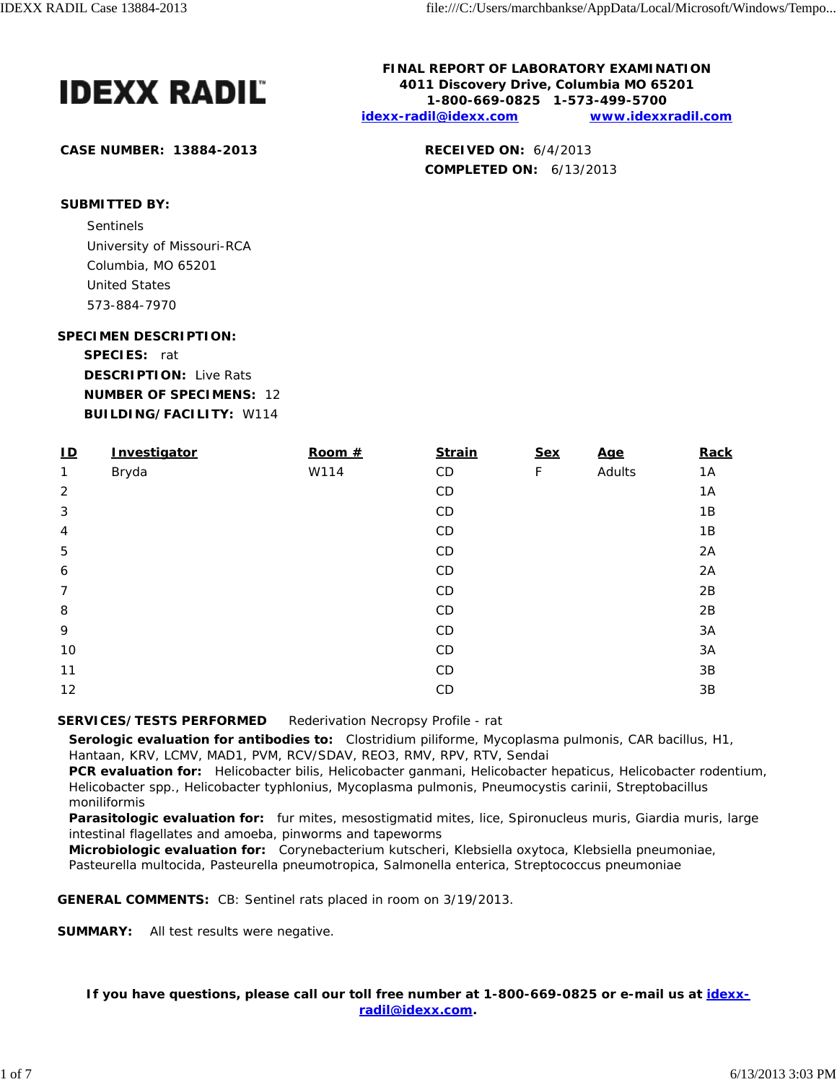

**CASE NUMBER: 13884-2013 RECEIVED ON:** 6/4/2013

**FINAL REPORT OF LABORATORY EXAMINATION 4011 Discovery Drive, Columbia MO 65201 1-800-669-0825 1-573-499-5700 idexx-radil@idexx.com www.idexxradil.com**

**COMPLETED ON:** 6/13/2013

**SUBMITTED BY:**

Sentinels and the sense of the sense of the sense of the sense of the sense of the sense of the sense of the sense of the sense of the sense of the sense of the sense of the sense of the sense of the sense of the sense of University of Missouri-RCA Columbia, MO 65201 United States 573-884-7970

### **SPECIMEN DESCRIPTION:**

**SPECIES:** rat

**DESCRIPTION:** Live Rats **NUMBER OF SPECIMENS:** 12 **BUILDING/FACILITY:** W114

| $\mathbf{L}$     | Investigator | Room $#$ | <b>Strain</b> | <b>Sex</b> | <u>Age</u> | Rack |
|------------------|--------------|----------|---------------|------------|------------|------|
| 1                | Bryda        | W114     | CD            | F          | Adults     | 1A   |
| $\overline{2}$   |              |          | CD            |            |            | 1A   |
| 3                |              |          | CD            |            |            | 1B   |
| 4                |              |          | CD            |            |            | 1B   |
| 5                |              |          | CD            |            |            | 2A   |
| $\boldsymbol{6}$ |              |          | CD            |            |            | 2A   |
| $\overline{7}$   |              |          | CD            |            |            | 2B   |
| 8                |              |          | CD            |            |            | 2B   |
| 9                |              |          | CD            |            |            | 3A   |
| 10               |              |          | CD            |            |            | 3A   |
| 11               |              |          | CD.           |            |            | 3B   |
| 12               |              |          | CD            |            |            | 3B   |

# **SERVICES/TESTS PERFORMED** Rederivation Necropsy Profile - rat

**Serologic evaluation for antibodies to:** *Clostridium piliforme*, *Mycoplasma pulmonis*, CAR bacillus, H1, Hantaan, KRV, LCMV, MAD1, PVM, RCV/SDAV, REO3, RMV, RPV, RTV, Sendai

**PCR evaluation for:** *Helicobacter bilis*, *Helicobacter ganmani*, *Helicobacter hepaticus*, *Helicobacter rodentium*, *Helicobacter* spp., *Helicobacter typhlonius*, *Mycoplasma pulmonis*, *Pneumocystis carinii*, *Streptobacillus moniliformis*

**Parasitologic evaluation for:** fur mites, mesostigmatid mites, lice, Spironucleus muris, Giardia muris, large intestinal flagellates and amoeba, pinworms and tapeworms

**Microbiologic evaluation for:** *Corynebacterium kutscheri*, *Klebsiella oxytoca*, *Klebsiella pneumoniae*, *Pasteurella multocida*, *Pasteurella pneumotropica*, *Salmonella enterica*, *Streptococcus pneumoniae*

**GENERAL COMMENTS:** CB: Sentinel rats placed in room on 3/19/2013.

**SUMMARY:** All test results were negative.

**If you have questions, please call our toll free number at 1-800-669-0825 or e-mail us at idexxradil@idexx.com.**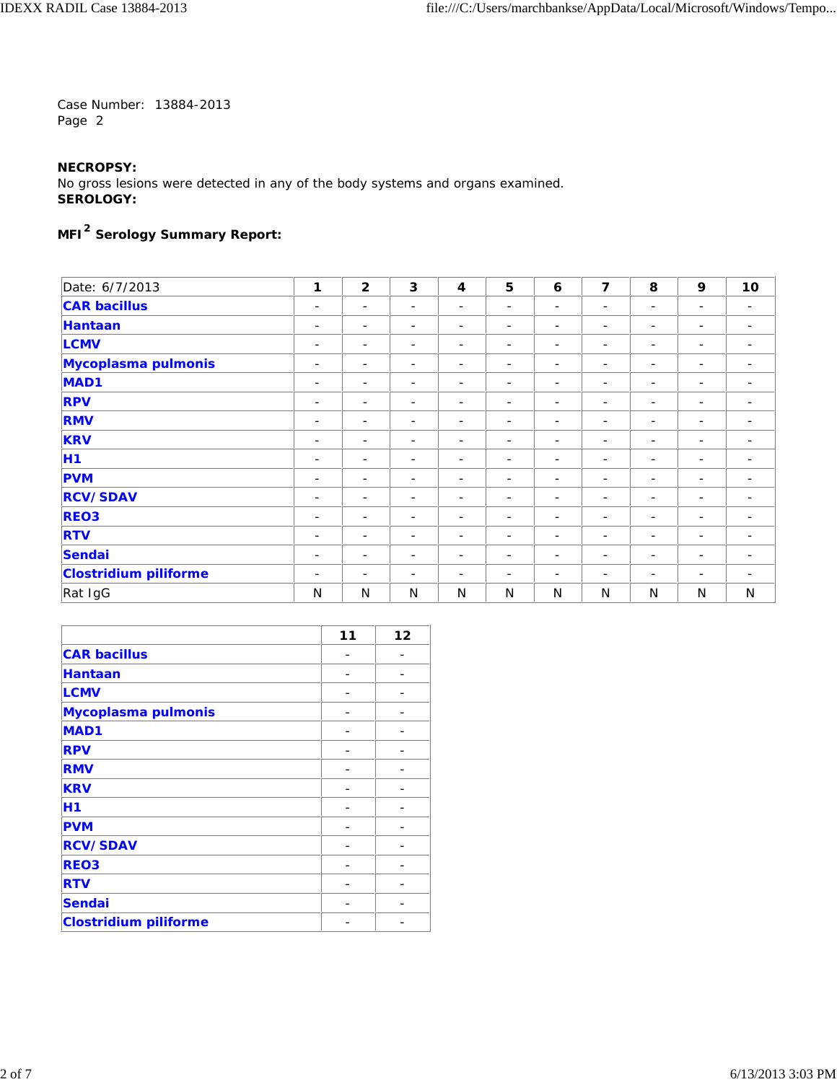## **NECROPSY:**

No gross lesions were detected in any of the body systems and organs examined. **SEROLOGY:**

# **MFI2 Serology Summary Report:**

| Date: 6/7/2013               | 1                        | $\mathbf{2}$             | 3                        | $\overline{\mathbf{4}}$  | 5                        | 6                        | $\overline{7}$           | 8                        | 9                        | 10                           |
|------------------------------|--------------------------|--------------------------|--------------------------|--------------------------|--------------------------|--------------------------|--------------------------|--------------------------|--------------------------|------------------------------|
| <b>CAR bacillus</b>          | $\overline{\phantom{a}}$ | $\overline{\phantom{a}}$ | $\overline{\phantom{a}}$ | -                        | $\overline{\phantom{a}}$ | $\overline{\phantom{a}}$ | -                        | ۰                        | $\overline{\phantom{a}}$ | $\overline{\phantom{a}}$     |
| Hantaan                      | $\overline{\phantom{a}}$ | $\overline{\phantom{a}}$ | $\sim$                   | -                        | $\overline{\phantom{a}}$ | $\overline{\phantom{a}}$ | -                        | -                        | $\overline{\phantom{a}}$ | $\overline{\phantom{a}}$     |
| <b>LCMV</b>                  | $\overline{\phantom{a}}$ | $\overline{\phantom{a}}$ | $\overline{\phantom{a}}$ | -                        | $\sim$                   | $\overline{\phantom{a}}$ | $\overline{\phantom{a}}$ | -                        | $\overline{\phantom{a}}$ | $\qquad \qquad \blacksquare$ |
| Mycoplasma pulmonis          | $\overline{\phantom{a}}$ | ۰                        | $\overline{\phantom{a}}$ | $\overline{a}$           | $\overline{\phantom{a}}$ | ۳                        | $\overline{\phantom{a}}$ | ۳                        | $\overline{\phantom{0}}$ | ۰                            |
| MAD <sub>1</sub>             | $\overline{\phantom{a}}$ | $\overline{\phantom{a}}$ | $\sim$                   | -                        | $\sim$                   | $\overline{\phantom{a}}$ | $\overline{\phantom{a}}$ | -                        | $\overline{\phantom{a}}$ | -                            |
| <b>RPV</b>                   | $\overline{\phantom{a}}$ | $\overline{\phantom{0}}$ | $\sim$                   | $\overline{\phantom{0}}$ | $\overline{\phantom{0}}$ | $\overline{\phantom{m}}$ | $\overline{\phantom{0}}$ | ۰                        | $\overline{\phantom{0}}$ | ۰                            |
| <b>RMV</b>                   | $\overline{\phantom{a}}$ | ٠                        | $\overline{\phantom{a}}$ | $\overline{\phantom{a}}$ | $\overline{\phantom{a}}$ | $\overline{\phantom{a}}$ | $\overline{\phantom{a}}$ | -                        | $\overline{\phantom{a}}$ | $\overline{\phantom{a}}$     |
| <b>KRV</b>                   | $\overline{\phantom{a}}$ | $\overline{\phantom{0}}$ | $\overline{\phantom{a}}$ | $\overline{\phantom{0}}$ | $\overline{\phantom{0}}$ | $\overline{\phantom{0}}$ | $\overline{\phantom{0}}$ | $\overline{\phantom{0}}$ | $\overline{\phantom{0}}$ | $\overline{\phantom{a}}$     |
| <b>H1</b>                    | $\overline{\phantom{a}}$ | $\overline{\phantom{0}}$ | $\sim$                   | $\overline{\phantom{0}}$ | $\sim$                   | $\overline{\phantom{m}}$ | -                        | ۰                        | $\overline{\phantom{a}}$ | -                            |
| <b>PVM</b>                   | $\overline{\phantom{a}}$ | ۰                        | $\overline{\phantom{a}}$ | -                        | $\sim$                   | -                        | $\overline{\phantom{0}}$ | -                        | $\overline{\phantom{a}}$ | ۰                            |
| <b>RCV/SDAV</b>              | $\overline{\phantom{a}}$ | $\overline{\phantom{m}}$ | $\sim$                   | $\overline{\phantom{0}}$ | $\overline{\phantom{a}}$ | $\overline{\phantom{a}}$ | $\frac{1}{2}$            | Ξ.                       | $\overline{\phantom{a}}$ | $\overline{\phantom{a}}$     |
| <b>REO3</b>                  | $\overline{\phantom{a}}$ | -                        | $\overline{\phantom{a}}$ | $\overline{\phantom{a}}$ | $\overline{\phantom{a}}$ | -                        | -                        | -                        | $\overline{\phantom{a}}$ | -                            |
| <b>RTV</b>                   | $\overline{\phantom{a}}$ | $\overline{\phantom{m}}$ | $\overline{\phantom{a}}$ | $\overline{\phantom{0}}$ | $\overline{\phantom{0}}$ | $\overline{\phantom{m}}$ | $\overline{\phantom{0}}$ | $\overline{\phantom{0}}$ | $\overline{\phantom{m}}$ | $\overline{\phantom{a}}$     |
| Sendai                       | $\overline{\phantom{a}}$ | $\overline{\phantom{a}}$ | $\overline{\phantom{a}}$ | $\overline{\phantom{a}}$ | $\sim$                   | $\overline{\phantom{a}}$ | $\overline{\phantom{a}}$ | -                        | $\overline{\phantom{a}}$ | $\overline{\phantom{a}}$     |
| <b>Clostridium piliforme</b> | $\overline{\phantom{a}}$ | ٠                        | $\overline{\phantom{a}}$ | ۰                        | $\overline{\phantom{a}}$ | ۰                        | ۰                        | ۰                        | $\overline{\phantom{a}}$ | -                            |
| Rat IgG                      | N                        | N                        | N                        | N                        | N                        | N                        | N                        | N                        | N                        | N                            |

|                              | 11 | 12 |
|------------------------------|----|----|
| <b>CAR bacillus</b>          |    |    |
| <b>Hantaan</b>               |    |    |
| <b>LCMV</b>                  |    |    |
| Mycoplasma pulmonis          |    |    |
| <b>MAD1</b>                  |    |    |
| <b>RPV</b>                   |    |    |
| <b>RMV</b>                   |    |    |
| <b>KRV</b>                   |    |    |
| H1                           |    |    |
| <b>PVM</b>                   |    |    |
| <b>RCV/SDAV</b>              |    |    |
| <b>REO3</b>                  |    |    |
| <b>RTV</b>                   |    |    |
| <b>Sendai</b>                |    |    |
| <b>Clostridium piliforme</b> |    |    |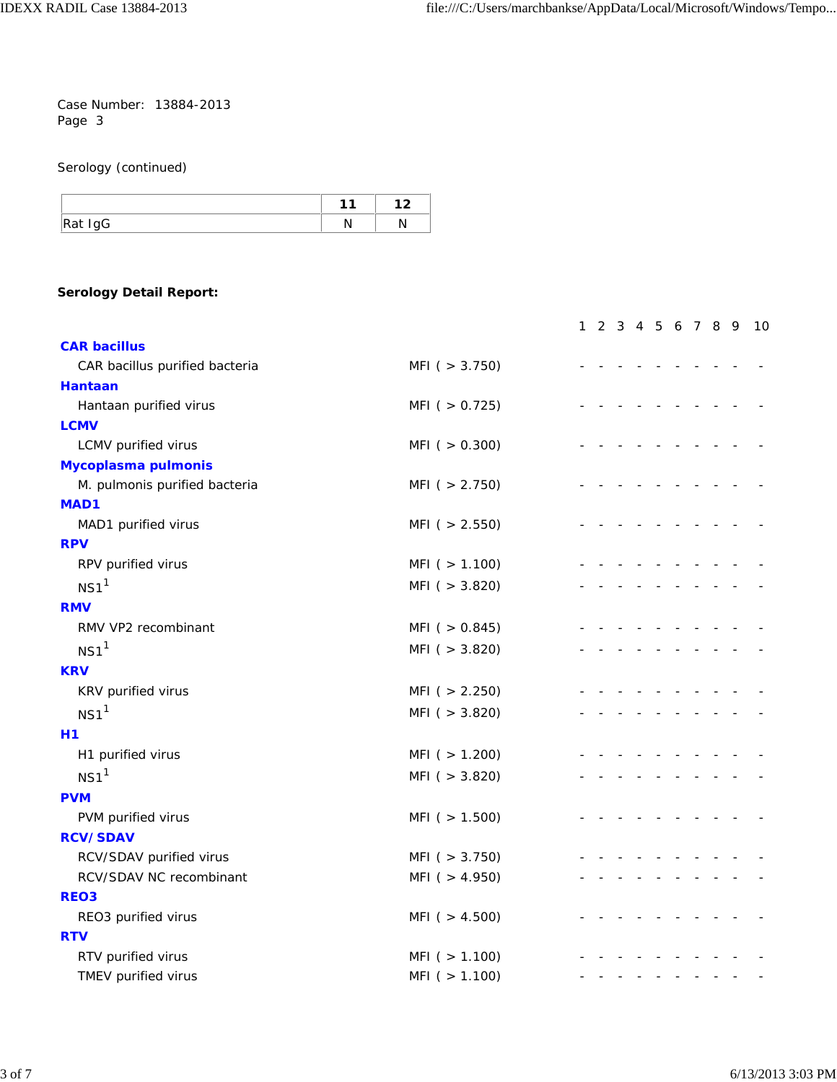Serology (continued)

|         | 44 | , |
|---------|----|---|
| Rat IgG |    |   |

## **Serology Detail Report:**

|                                |                     | 1 2 3 4 5 6 7 8 9 |  |  |  | - 10 |
|--------------------------------|---------------------|-------------------|--|--|--|------|
| <b>CAR bacillus</b>            |                     |                   |  |  |  |      |
| CAR bacillus purified bacteria | MFI( > 3.750)       |                   |  |  |  |      |
| <b>Hantaan</b>                 |                     |                   |  |  |  |      |
| Hantaan purified virus         | MFI( > 0.725)       |                   |  |  |  |      |
| <b>LCMV</b>                    |                     |                   |  |  |  |      |
| LCMV purified virus            | $MFI$ ( $> 0.300$ ) |                   |  |  |  |      |
| Mycoplasma pulmonis            |                     |                   |  |  |  |      |
| M. pulmonis purified bacteria  | MFI( > 2.750)       |                   |  |  |  |      |
| MAD1                           |                     |                   |  |  |  |      |
| MAD1 purified virus            | MFI( > 2.550)       |                   |  |  |  |      |
| <b>RPV</b>                     |                     |                   |  |  |  |      |
| RPV purified virus             | MFI( > 1.100)       |                   |  |  |  |      |
| $NS1$ <sup>1</sup>             | MFI( > 3.820)       |                   |  |  |  |      |
| <b>RMV</b>                     |                     |                   |  |  |  |      |
| RMV VP2 recombinant            | MFI( > 0.845)       |                   |  |  |  |      |
| NS1 <sup>1</sup>               | MFI (> 3.820)       |                   |  |  |  |      |
| <b>KRV</b>                     |                     |                   |  |  |  |      |
| KRV purified virus             | MFI( > 2.250)       |                   |  |  |  |      |
| $NS1$ <sup>1</sup>             | MFI( > 3.820)       |                   |  |  |  |      |
| <b>H1</b>                      |                     |                   |  |  |  |      |
| H1 purified virus              | MFI( > 1.200)       |                   |  |  |  |      |
| $NS1$ <sup>1</sup>             | MFI( > 3.820)       |                   |  |  |  |      |
| <b>PVM</b>                     |                     |                   |  |  |  |      |
| PVM purified virus             | MFI( > 1.500)       |                   |  |  |  |      |
| <b>RCV/SDAV</b>                |                     |                   |  |  |  |      |
| RCV/SDAV purified virus        | MFI $( > 3.750)$    |                   |  |  |  |      |
| RCV/SDAV NC recombinant        | MFI (> 4.950)       |                   |  |  |  |      |
| REO <sub>3</sub>               |                     |                   |  |  |  |      |
| REO3 purified virus            | MFI ( $> 4.500$ )   |                   |  |  |  |      |
| <b>RTV</b>                     |                     |                   |  |  |  |      |
| RTV purified virus             | MFI( > 1.100)       |                   |  |  |  |      |
| TMEV purified virus            | MFI( > 1.100)       |                   |  |  |  |      |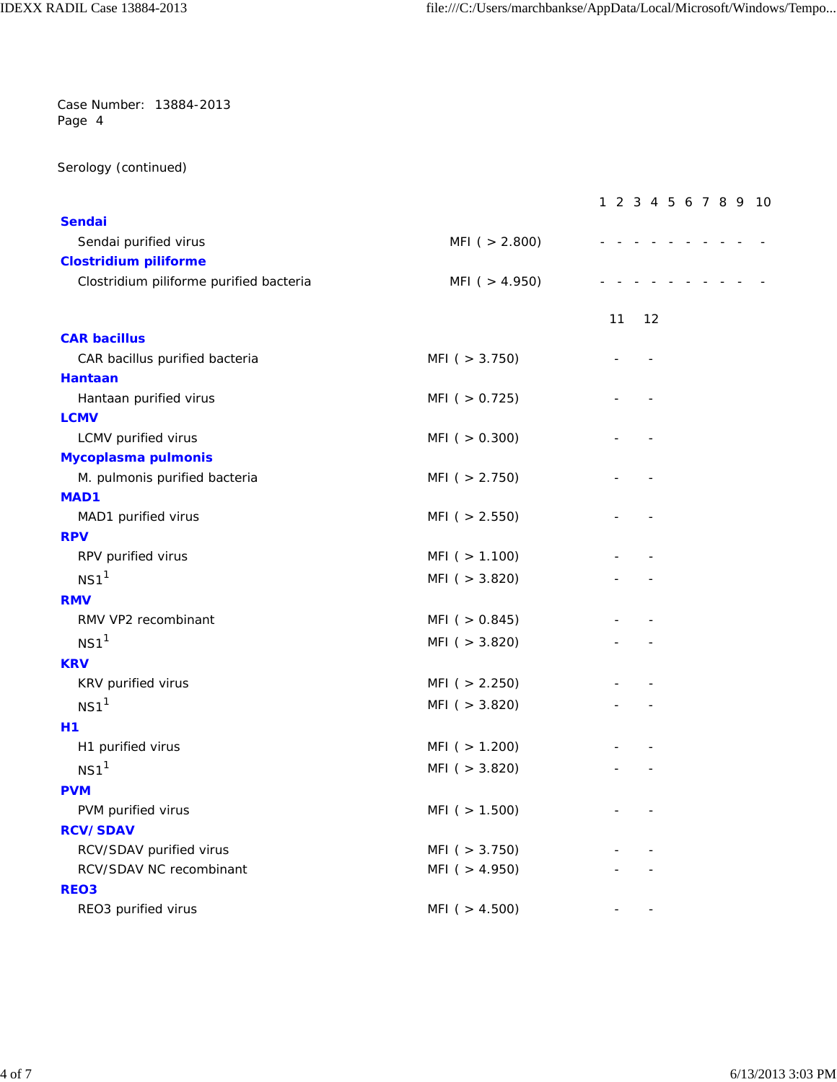Serology (continued)

|                                                    |                                | 1 2 3 4 5 6 7 8 9 10 |  |
|----------------------------------------------------|--------------------------------|----------------------|--|
| <b>Sendai</b>                                      |                                |                      |  |
| Sendai purified virus                              | MFI( > 2.800)                  |                      |  |
| <b>Clostridium piliforme</b>                       |                                |                      |  |
| Clostridium piliforme purified bacteria            | MFI $( > 4.950)$               |                      |  |
|                                                    |                                | 11<br>12             |  |
| <b>CAR bacillus</b>                                |                                |                      |  |
| CAR bacillus purified bacteria                     | MFI( > 3.750)                  |                      |  |
| <b>Hantaan</b>                                     |                                |                      |  |
| Hantaan purified virus                             | MFI( > 0.725)                  |                      |  |
| <b>LCMV</b>                                        | MFI( > 0.300)                  |                      |  |
| LCMV purified virus<br>Mycoplasma pulmonis         |                                |                      |  |
| M. pulmonis purified bacteria                      | MFI( > 2.750)                  |                      |  |
| MAD1                                               |                                |                      |  |
| MAD1 purified virus                                | MFI( > 2.550)                  |                      |  |
| <b>RPV</b>                                         |                                |                      |  |
| RPV purified virus                                 | MFI( > 1.100)                  |                      |  |
| NS1 <sup>1</sup>                                   | MFI( > 3.820)                  |                      |  |
| <b>RMV</b>                                         |                                |                      |  |
| RMV VP2 recombinant                                | MFI( > 0.845)                  |                      |  |
| $NS1$ <sup>1</sup>                                 | MFI( > 3.820)                  |                      |  |
| <b>KRV</b>                                         |                                |                      |  |
| KRV purified virus                                 | MFI( > 2.250)                  |                      |  |
| $NS1$ <sup>1</sup>                                 |                                |                      |  |
|                                                    | MFI( > 3.820)                  |                      |  |
| H1                                                 |                                |                      |  |
| H1 purified virus                                  | MFI( > 1.200)                  |                      |  |
| NS1 <sup>1</sup>                                   | MFI( > 3.820)                  |                      |  |
| <b>PVM</b>                                         |                                |                      |  |
| PVM purified virus                                 | MFI( > 1.500)                  |                      |  |
| <b>RCV/SDAV</b>                                    |                                |                      |  |
| RCV/SDAV purified virus<br>RCV/SDAV NC recombinant | MFI (> 3.750)<br>MFI( > 4.950) |                      |  |
| REO <sub>3</sub>                                   |                                |                      |  |
| REO3 purified virus                                | MFI ( $> 4.500$ )              |                      |  |
|                                                    |                                |                      |  |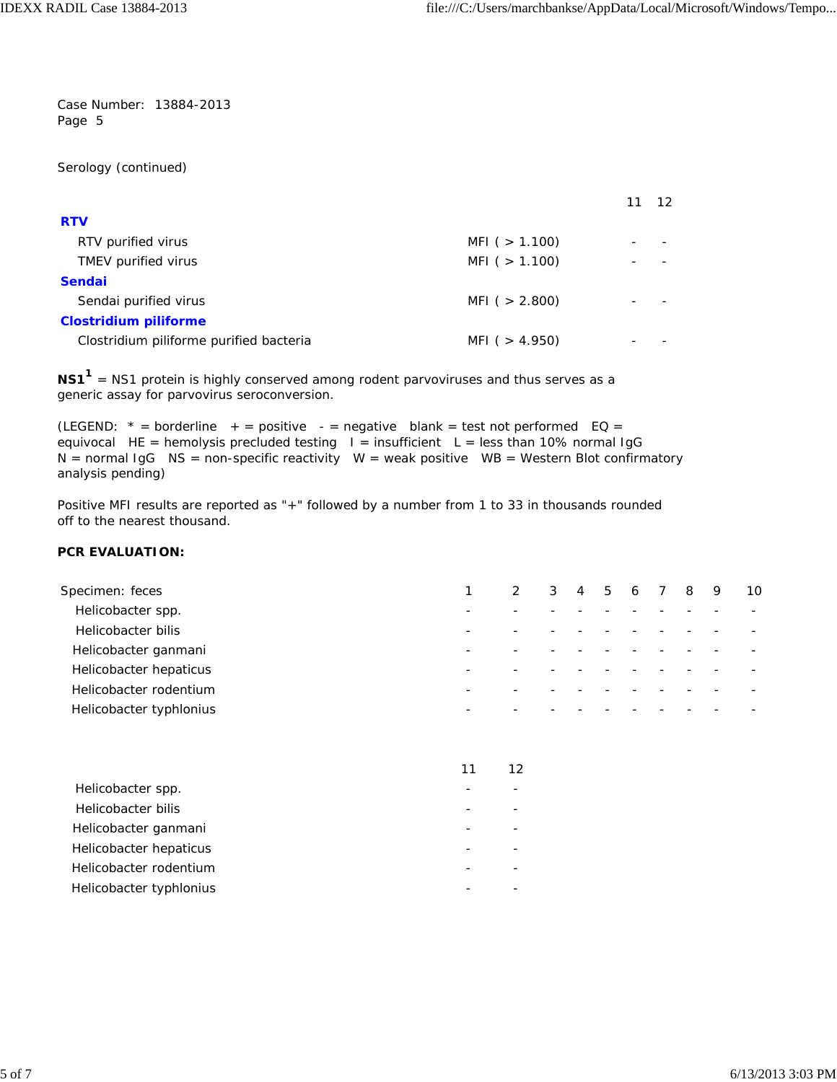Serology (continued)

|                                         |                   | 12 |
|-----------------------------------------|-------------------|----|
| <b>RTV</b>                              |                   |    |
| RTV purified virus                      | MFI ( $> 1.100$ ) |    |
| TMEV purified virus                     | MFI ( $> 1.100$ ) |    |
| <b>Sendai</b>                           |                   |    |
| Sendai purified virus                   | MFI ( $> 2.800$ ) |    |
| <b>Clostridium piliforme</b>            |                   |    |
| Clostridium piliforme purified bacteria | MFI ( $> 4.950$ ) |    |

NS1<sup>1</sup> = NS1 protein is highly conserved among rodent parvoviruses and thus serves as a generic assay for parvovirus seroconversion.

(LEGEND:  $*$  = borderline + = positive - = negative blank = test not performed EQ = equivocal HE = hemolysis precluded testing  $I =$  insufficient L = less than 10% normal IgG  $N =$  normal IgG  $NS =$  non-specific reactivity  $W =$  weak positive  $WB =$  Western Blot confirmatory analysis pending)

Positive MFI results are reported as "+" followed by a number from 1 to 33 in thousands rounded off to the nearest thousand.

#### **PCR EVALUATION:**

| Specimen: feces         | 2 | 3 4 5 6 7 |  |  | 89 | -10 |
|-------------------------|---|-----------|--|--|----|-----|
| Helicobacter spp.       |   |           |  |  |    |     |
| Helicobacter bilis      |   |           |  |  |    |     |
| Helicobacter ganmani    |   |           |  |  |    |     |
| Helicobacter hepaticus  |   |           |  |  |    |     |
| Helicobacter rodentium  |   |           |  |  |    |     |
| Helicobacter typhlonius |   |           |  |  |    |     |
|                         |   |           |  |  |    |     |

|                         | 11 | 12 |  |
|-------------------------|----|----|--|
| Helicobacter spp.       |    |    |  |
| Helicobacter bilis      |    |    |  |
| Helicobacter ganmani    |    |    |  |
| Helicobacter hepaticus  |    |    |  |
| Helicobacter rodentium  |    |    |  |
| Helicobacter typhlonius |    |    |  |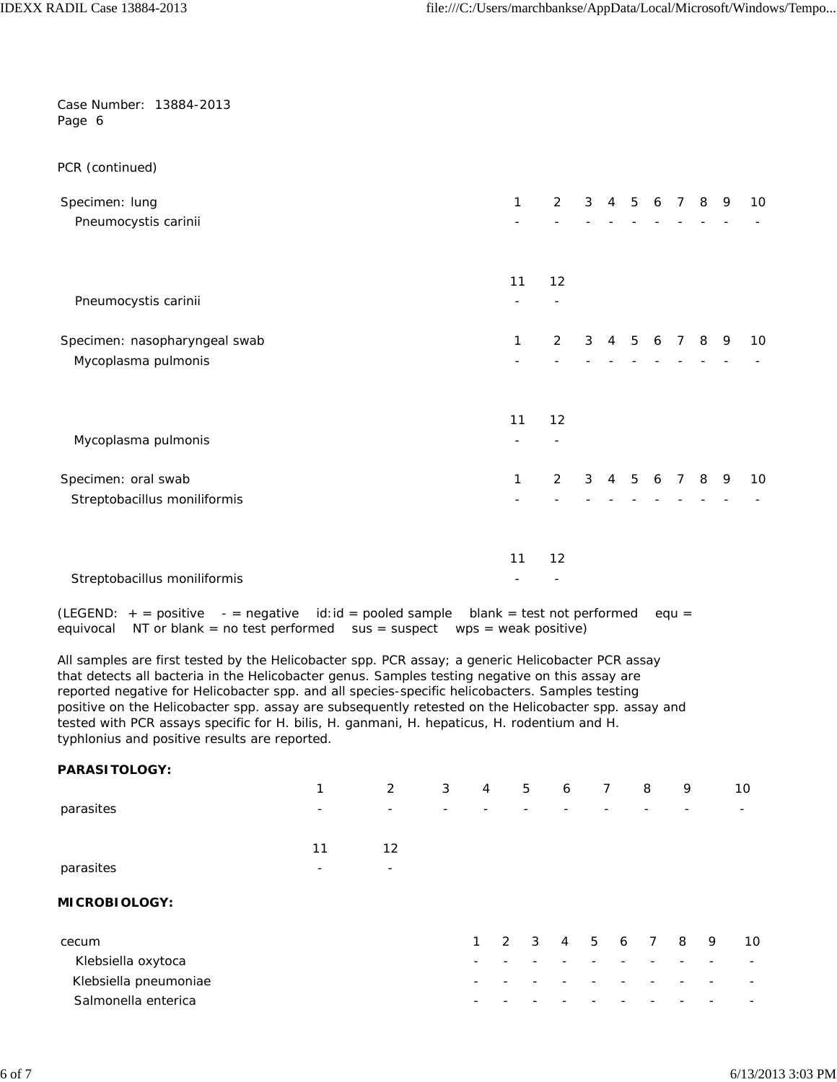| Case Number: 13884-2013<br>Page 6          |                          |                              |    |   |                |   |   |                 |   |     |    |
|--------------------------------------------|--------------------------|------------------------------|----|---|----------------|---|---|-----------------|---|-----|----|
| PCR (continued)                            |                          |                              |    |   |                |   |   |                 |   |     |    |
| Specimen: lung                             |                          | $\mathbf{1}$                 | 2  | 3 | $\overline{4}$ | 5 | 6 | $7\overline{ }$ | 8 | - 9 | 10 |
| Pneumocystis carinii                       |                          |                              |    |   |                |   |   |                 |   |     |    |
|                                            |                          | 11                           | 12 |   |                |   |   |                 |   |     |    |
| Pneumocystis carinii                       |                          |                              |    |   |                |   |   |                 |   |     |    |
| Specimen: nasopharyngeal swab              |                          | 1                            | 2  | 3 | $\overline{4}$ | 5 | 6 | $7^{\circ}$     | 8 | - 9 | 10 |
| Mycoplasma pulmonis                        |                          |                              |    |   |                |   |   |                 |   |     |    |
|                                            |                          | 11                           | 12 |   |                |   |   |                 |   |     |    |
| Mycoplasma pulmonis                        |                          |                              |    |   |                |   |   |                 |   |     |    |
| Specimen: oral swab                        |                          | 1                            | 2  | 3 | $\overline{4}$ | 5 | 6 | $7^{\circ}$     | 8 | 9   | 10 |
| Streptobacillus moniliformis               |                          |                              |    |   |                |   |   |                 |   |     |    |
|                                            |                          | 11                           | 12 |   |                |   |   |                 |   |     |    |
| Streptobacillus moniliformis               |                          |                              |    |   |                |   |   |                 |   |     |    |
| $(LEGEND: + = positive)$<br>$-$ = negative | $id: id = pooled sample$ | $blank = test not performed$ |    |   |                |   |   | $equ =$         |   |     |    |

equivocal NT or blank = no test performed sus = suspect wps = weak positive)

All samples are first tested by the *Helicobacter* spp. PCR assay; a generic *Helicobacter* PCR assay that detects all bacteria in the *Helicobacter* genus. Samples testing negative on this assay are reported negative for *Helicobacter* spp. and all species-specific helicobacters. Samples testing positive on the *Helicobacter* spp. assay are subsequently retested on the *Helicobacter* spp. assay and tested with PCR assays specific for *H. bilis, H. ganmani, H. hepaticus, H. rodentium* and *H. typhlonius* and positive results are reported.

| <b>PARASITOLOGY:</b>  |    |                |   |                |             |                |   |   |     |   |   |    |
|-----------------------|----|----------------|---|----------------|-------------|----------------|---|---|-----|---|---|----|
|                       | 1  | $\overline{2}$ | 3 | $\overline{4}$ | 5           | 6              | 7 |   | 8   | 9 |   | 10 |
| parasites             | -  |                |   |                |             |                |   |   |     |   |   |    |
|                       | 11 | 12             |   |                |             |                |   |   |     |   |   |    |
| parasites             | ۰  | ÷              |   |                |             |                |   |   |     |   |   |    |
| <b>MICROBIOLOGY:</b>  |    |                |   |                |             |                |   |   |     |   |   |    |
| cecum                 |    |                |   | 1              | $2 \quad 3$ | $\overline{4}$ | 5 | 6 | 7 8 |   | 9 | 10 |
| Klebsiella oxytoca    |    |                |   |                |             |                |   |   |     |   |   |    |
| Klebsiella pneumoniae |    |                |   |                |             |                |   |   |     |   |   |    |
| Salmonella enterica   |    |                |   |                |             |                |   |   |     |   |   |    |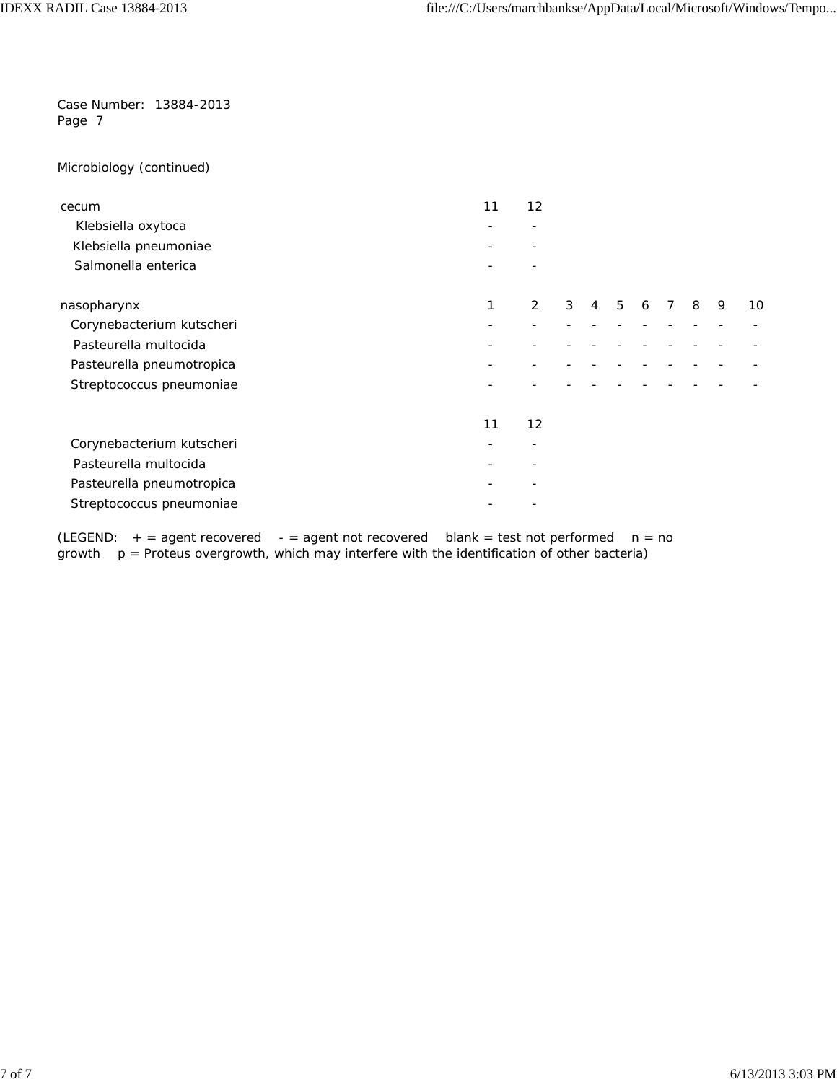Microbiology (continued)

| cecum                     | 11 | 12 |   |   |   |   |             |   |   |    |
|---------------------------|----|----|---|---|---|---|-------------|---|---|----|
| Klebsiella oxytoca        |    |    |   |   |   |   |             |   |   |    |
| Klebsiella pneumoniae     |    |    |   |   |   |   |             |   |   |    |
| Salmonella enterica       |    |    |   |   |   |   |             |   |   |    |
| nasopharynx               | 1  | 2  | 3 | 4 | 5 | 6 | $7^{\circ}$ | 8 | 9 | 10 |
| Corynebacterium kutscheri |    |    |   |   |   |   |             |   |   |    |
| Pasteurella multocida     |    |    |   |   |   |   |             |   |   |    |
| Pasteurella pneumotropica |    |    |   |   |   |   |             |   |   |    |
| Streptococcus pneumoniae  |    |    |   |   |   |   |             |   |   |    |
|                           | 11 | 12 |   |   |   |   |             |   |   |    |
| Corynebacterium kutscheri |    |    |   |   |   |   |             |   |   |    |
| Pasteurella multocida     |    |    |   |   |   |   |             |   |   |    |
| Pasteurella pneumotropica |    |    |   |   |   |   |             |   |   |    |
| Streptococcus pneumoniae  |    |    |   |   |   |   |             |   |   |    |

(LEGEND:  $+$  = agent recovered - = agent not recovered blank = test not performed  $n = no$ growth  $p =$  Proteus overgrowth, which may interfere with the identification of other bacteria)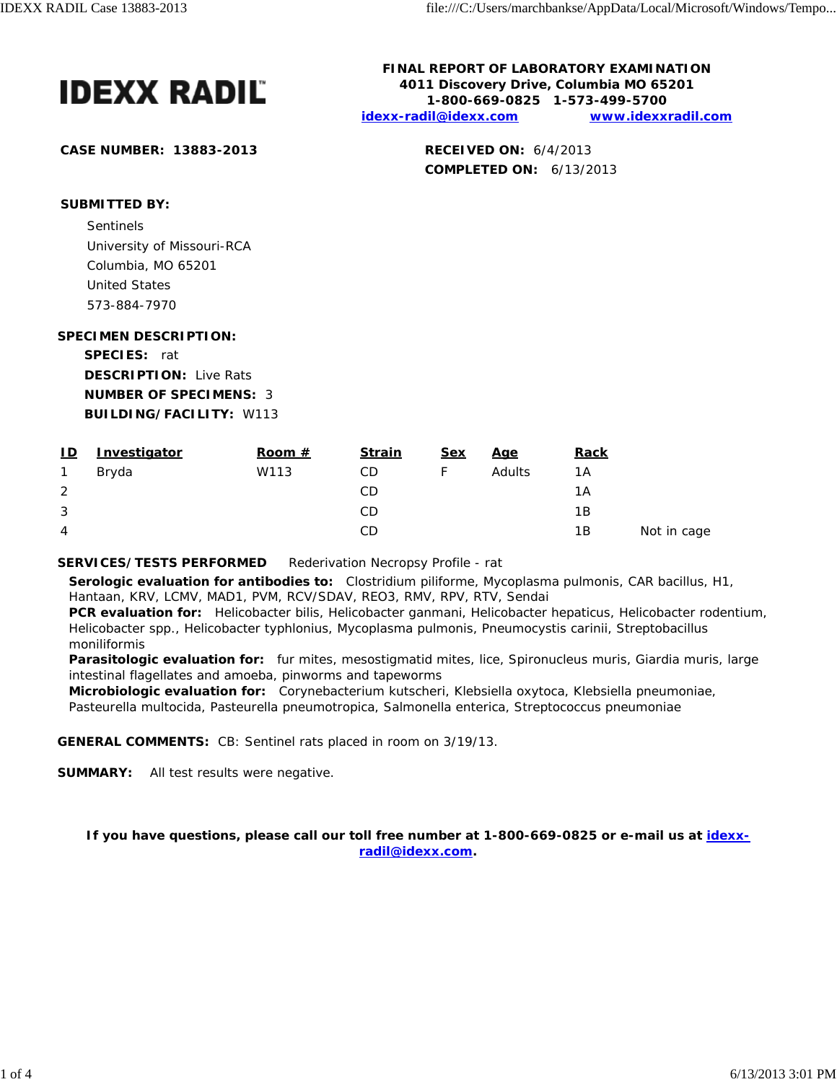

**CASE NUMBER: 13883-2013 RECEIVED ON:** 6/4/2013

**FINAL REPORT OF LABORATORY EXAMINATION 4011 Discovery Drive, Columbia MO 65201 1-800-669-0825 1-573-499-5700 idexx-radil@idexx.com www.idexxradil.com**

**COMPLETED ON:** 6/13/2013

**SUBMITTED BY:**

Sentinels and the sense of the sense of the sense of the sense of the sense of the sense of the sense of the sense of the sense of the sense of the sense of the sense of the sense of the sense of the sense of the sense of University of Missouri-RCA Columbia, MO 65201 United States 573-884-7970

**SPECIMEN DESCRIPTION:**

**SPECIES:** rat **DESCRIPTION:** Live Rats **NUMBER OF SPECIMENS:** 3 **BUILDING/FACILITY:** W113

| <u>ID</u> | Investigator | Room $#$ | <b>Strain</b> | <u>Sex</u> | <u>Age</u> | <b>Rack</b> |             |
|-----------|--------------|----------|---------------|------------|------------|-------------|-------------|
|           | Bryda        | W113     | CD            |            | Adults     | 1A          |             |
| 2         |              |          | CD            |            |            | 1A          |             |
| 3         |              |          | CD            |            |            | 1B          |             |
| 4         |              |          | CD            |            |            | 1B          | Not in cage |

**SERVICES/TESTS PERFORMED** Rederivation Necropsy Profile - rat

**Serologic evaluation for antibodies to:** *Clostridium piliforme*, *Mycoplasma pulmonis*, CAR bacillus, H1, Hantaan, KRV, LCMV, MAD1, PVM, RCV/SDAV, REO3, RMV, RPV, RTV, Sendai

**PCR evaluation for:** *Helicobacter bilis*, *Helicobacter ganmani*, *Helicobacter hepaticus*, *Helicobacter rodentium*, *Helicobacter* spp., *Helicobacter typhlonius*, *Mycoplasma pulmonis*, *Pneumocystis carinii*, *Streptobacillus moniliformis*

**Parasitologic evaluation for:** fur mites, mesostigmatid mites, lice, Spironucleus muris, Giardia muris, large intestinal flagellates and amoeba, pinworms and tapeworms

**Microbiologic evaluation for:** *Corynebacterium kutscheri*, *Klebsiella oxytoca*, *Klebsiella pneumoniae*, *Pasteurella multocida*, *Pasteurella pneumotropica*, *Salmonella enterica*, *Streptococcus pneumoniae*

**GENERAL COMMENTS:** CB: Sentinel rats placed in room on 3/19/13.

**SUMMARY:** All test results were negative.

**If you have questions, please call our toll free number at 1-800-669-0825 or e-mail us at idexxradil@idexx.com.**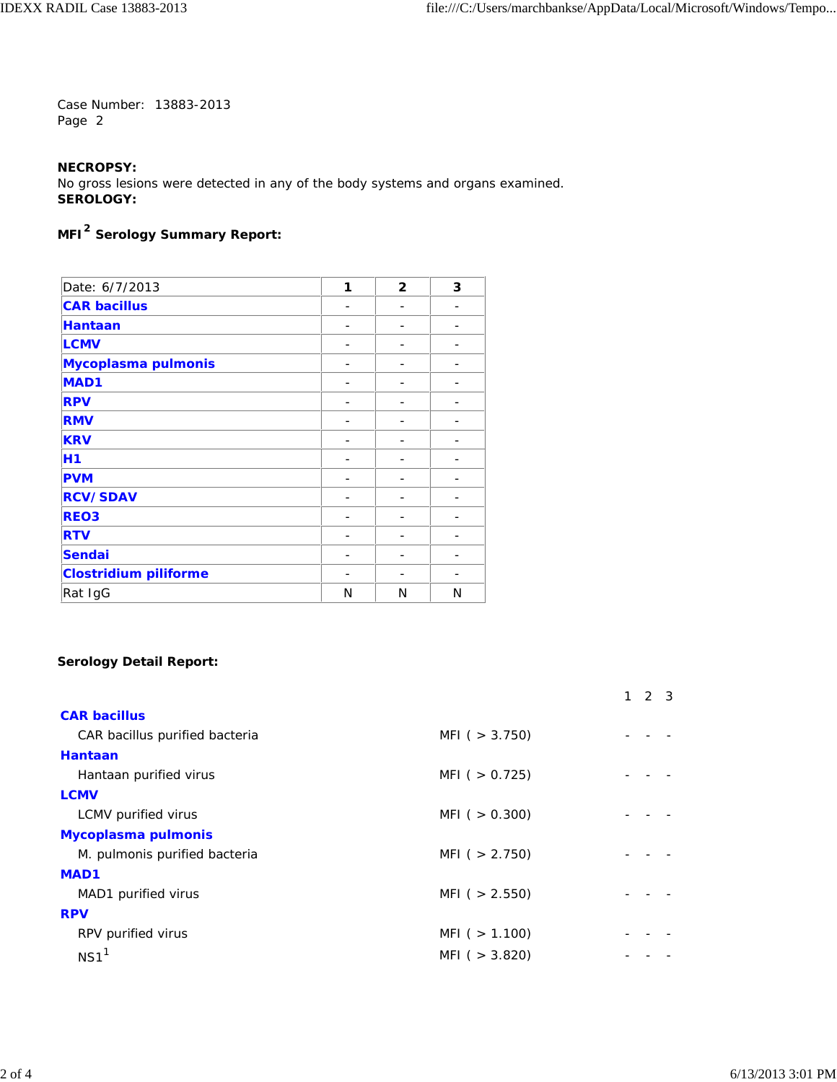## **NECROPSY:**

No gross lesions were detected in any of the body systems and organs examined. **SEROLOGY:**

# **MFI2 Serology Summary Report:**

| Date: 6/7/2013               | 1 | $\overline{2}$ | 3 |
|------------------------------|---|----------------|---|
| <b>CAR bacillus</b>          |   |                |   |
| <b>Hantaan</b>               |   |                |   |
| <b>LCMV</b>                  |   |                |   |
| Mycoplasma pulmonis          |   |                |   |
| <b>MAD1</b>                  |   |                |   |
| <b>RPV</b>                   |   |                |   |
| <b>RMV</b>                   |   |                |   |
| <b>KRV</b>                   |   |                |   |
| H1                           |   |                |   |
| <b>PVM</b>                   |   | -              |   |
| <b>RCV/SDAV</b>              |   |                |   |
| <b>REO3</b>                  |   |                |   |
| <b>RTV</b>                   |   |                |   |
| <b>Sendai</b>                |   |                |   |
| <b>Clostridium piliforme</b> |   |                |   |
| Rat IgG                      | N | N              | N |

## **Serology Detail Report:**

|                                |                   | 2 3 |  |
|--------------------------------|-------------------|-----|--|
| <b>CAR bacillus</b>            |                   |     |  |
| CAR bacillus purified bacteria | MFI ( $>$ 3.750)  |     |  |
| Hantaan                        |                   |     |  |
| Hantaan purified virus         | MFI ( $> 0.725$ ) |     |  |
| <b>LCMV</b>                    |                   |     |  |
| LCMV purified virus            | MFI ( $> 0.300$ ) |     |  |
| Mycoplasma pulmonis            |                   |     |  |
| M. pulmonis purified bacteria  | MFI ( $> 2.750$ ) |     |  |
| <b>MAD1</b>                    |                   |     |  |
| MAD1 purified virus            | MFI ( $> 2.550$ ) |     |  |
| <b>RPV</b>                     |                   |     |  |
| RPV purified virus             | MFI ( $> 1.100$ ) |     |  |
| NS <sub>1</sub>                | MFI ( $>$ 3.820)  |     |  |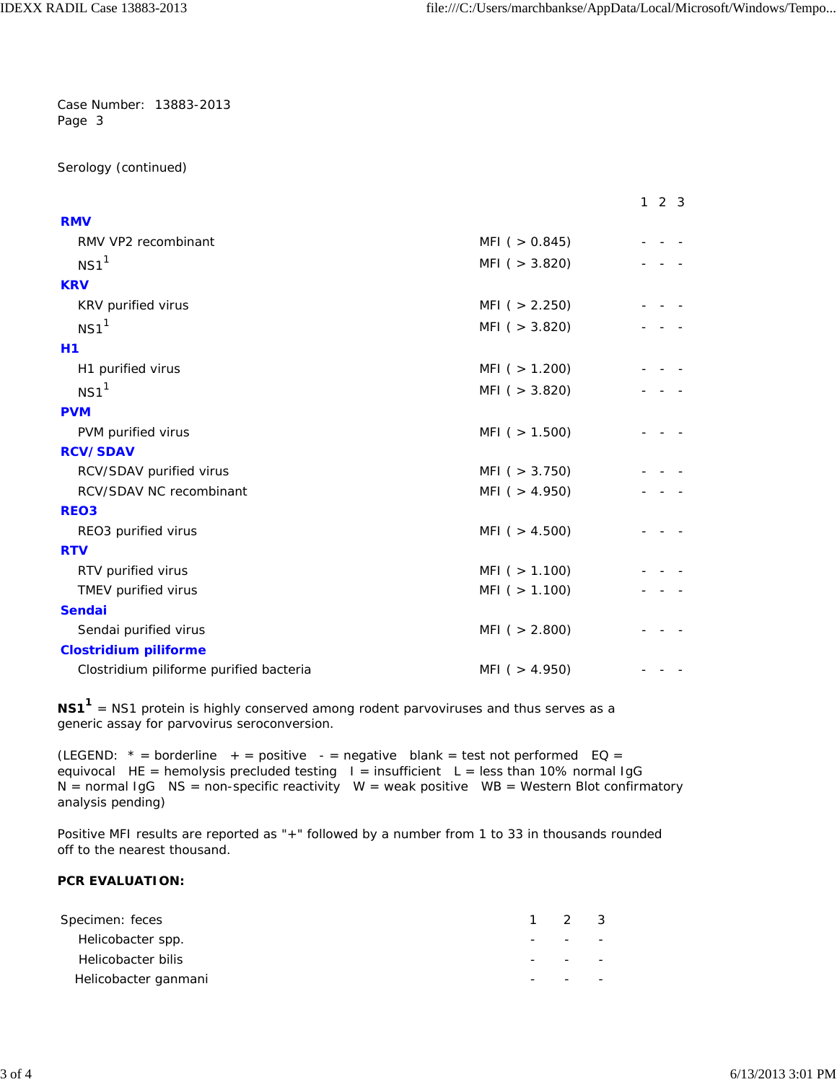Serology (continued)

|                                         |                     | 123 |
|-----------------------------------------|---------------------|-----|
| <b>RMV</b>                              |                     |     |
| RMV VP2 recombinant                     | MFI ( $> 0.845$ )   |     |
| NS1 <sup>1</sup>                        | MFI( > 3.820)       |     |
| <b>KRV</b>                              |                     |     |
| KRV purified virus                      | MFI( > 2.250)       |     |
| NS1 <sup>1</sup>                        | MFI( > 3.820)       |     |
| H1                                      |                     |     |
| H1 purified virus                       | MFI ( $> 1.200$ )   |     |
| NS1 <sup>1</sup>                        | MFI( > 3.820)       |     |
| <b>PVM</b>                              |                     |     |
| PVM purified virus                      | MFI ( $> 1.500$ )   |     |
| <b>RCV/SDAV</b>                         |                     |     |
| RCV/SDAV purified virus                 | MFI( > 3.750)       |     |
| RCV/SDAV NC recombinant                 | MFI ( $> 4.950$ )   |     |
| <b>REO3</b>                             |                     |     |
| REO3 purified virus                     | MFI ( $> 4.500$ )   |     |
| <b>RTV</b>                              |                     |     |
| RTV purified virus                      | MFI ( $> 1.100$ )   |     |
| TMEV purified virus                     | $MFI$ ( $> 1.100$ ) |     |
| <b>Sendai</b>                           |                     |     |
| Sendai purified virus                   | MFI( > 2.800)       |     |
| <b>Clostridium piliforme</b>            |                     |     |
| Clostridium piliforme purified bacteria | MFI ( $> 4.950$ )   |     |

NS1<sup>1</sup> = NS1 protein is highly conserved among rodent parvoviruses and thus serves as a generic assay for parvovirus seroconversion.

(LEGEND:  $* =$  borderline  $+ =$  positive -  $=$  negative blank = test not performed EQ = equivocal HE = hemolysis precluded testing  $I =$  insufficient L = less than 10% normal IgG N = normal IgG NS = non-specific reactivity W = weak positive WB = Western Blot confirmatory analysis pending)

Positive MFI results are reported as "+" followed by a number from 1 to 33 in thousands rounded off to the nearest thousand.

## **PCR EVALUATION:**

| Specimen: feces      | $1 \quad 2 \quad 3$ |  |
|----------------------|---------------------|--|
| Helicobacter spp.    |                     |  |
| Helicobacter bilis   |                     |  |
| Helicobacter ganmani |                     |  |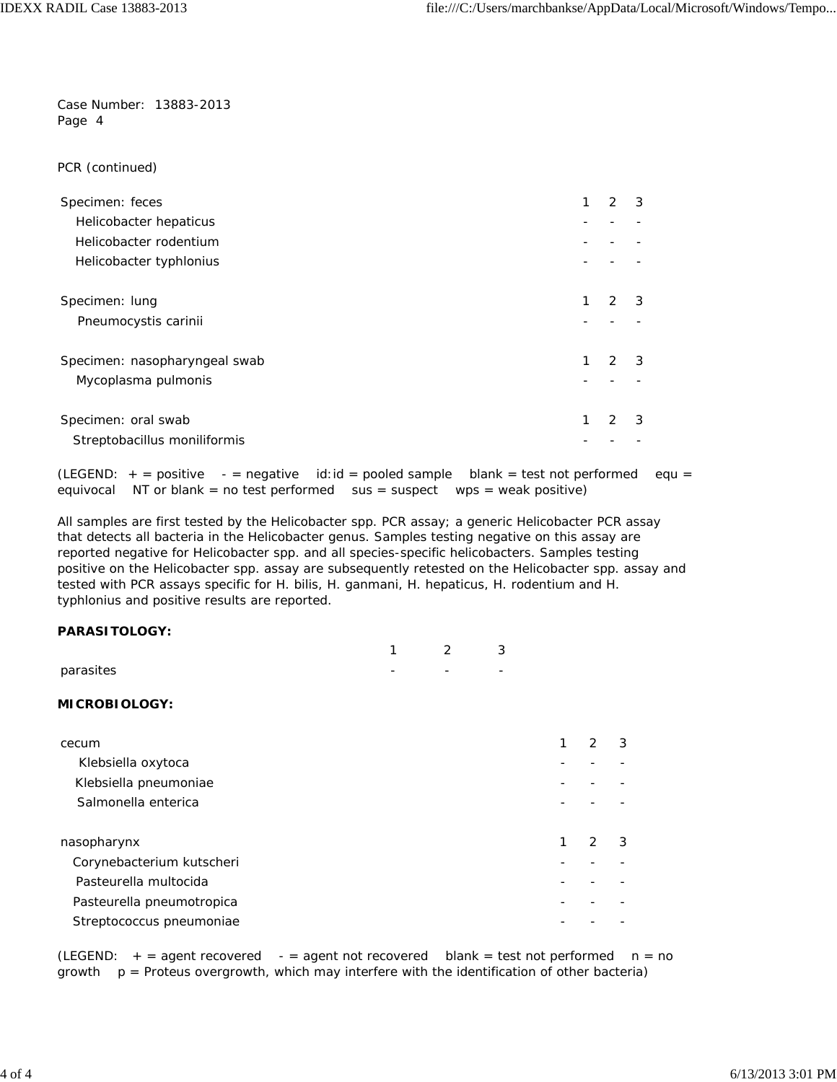PCR (continued)

| Specimen: feces               |   | 2             | 3 |
|-------------------------------|---|---------------|---|
| Helicobacter hepaticus        |   |               |   |
| Helicobacter rodentium        |   |               |   |
| Helicobacter typhlonius       |   |               |   |
| Specimen: lung                | 1 | $\mathcal{P}$ | 3 |
| Pneumocystis carinii          |   |               |   |
| Specimen: nasopharyngeal swab |   | $\mathcal{P}$ | 3 |
| Mycoplasma pulmonis           |   |               |   |
| Specimen: oral swab           | 1 |               | 3 |
| Streptobacillus moniliformis  |   |               |   |

(LEGEND:  $+$  = positive - = negative id:id = pooled sample blank = test not performed equ = equivocal NT or blank = no test performed sus = suspect wps = weak positive)

All samples are first tested by the *Helicobacter* spp. PCR assay; a generic *Helicobacter* PCR assay that detects all bacteria in the *Helicobacter* genus. Samples testing negative on this assay are reported negative for *Helicobacter* spp. and all species-specific helicobacters. Samples testing positive on the *Helicobacter* spp. assay are subsequently retested on the *Helicobacter* spp. assay and tested with PCR assays specific for *H. bilis, H. ganmani, H. hepaticus, H. rodentium* and *H. typhlonius* and positive results are reported.

### **PARASITOLOGY:**

|                           | ◀ | $\mathfrak{D}$ | 3 |   |   |   |
|---------------------------|---|----------------|---|---|---|---|
| parasites                 |   |                |   |   |   |   |
| <b>MICROBIOLOGY:</b>      |   |                |   |   |   |   |
| cecum                     |   |                |   | 1 | 2 | 3 |
| Klebsiella oxytoca        |   |                |   |   |   |   |
| Klebsiella pneumoniae     |   |                |   |   |   |   |
| Salmonella enterica       |   |                |   |   |   |   |
| nasopharynx               |   |                |   | 1 | 2 | 3 |
| Corynebacterium kutscheri |   |                |   |   |   |   |
| Pasteurella multocida     |   |                |   |   |   |   |
| Pasteurella pneumotropica |   |                |   |   |   |   |
| Streptococcus pneumoniae  |   |                |   |   |   |   |

(LEGEND:  $+$  = agent recovered - = agent not recovered blank = test not performed  $n = no$  $growth$   $p =$  Proteus overgrowth, which may interfere with the identification of other bacteria)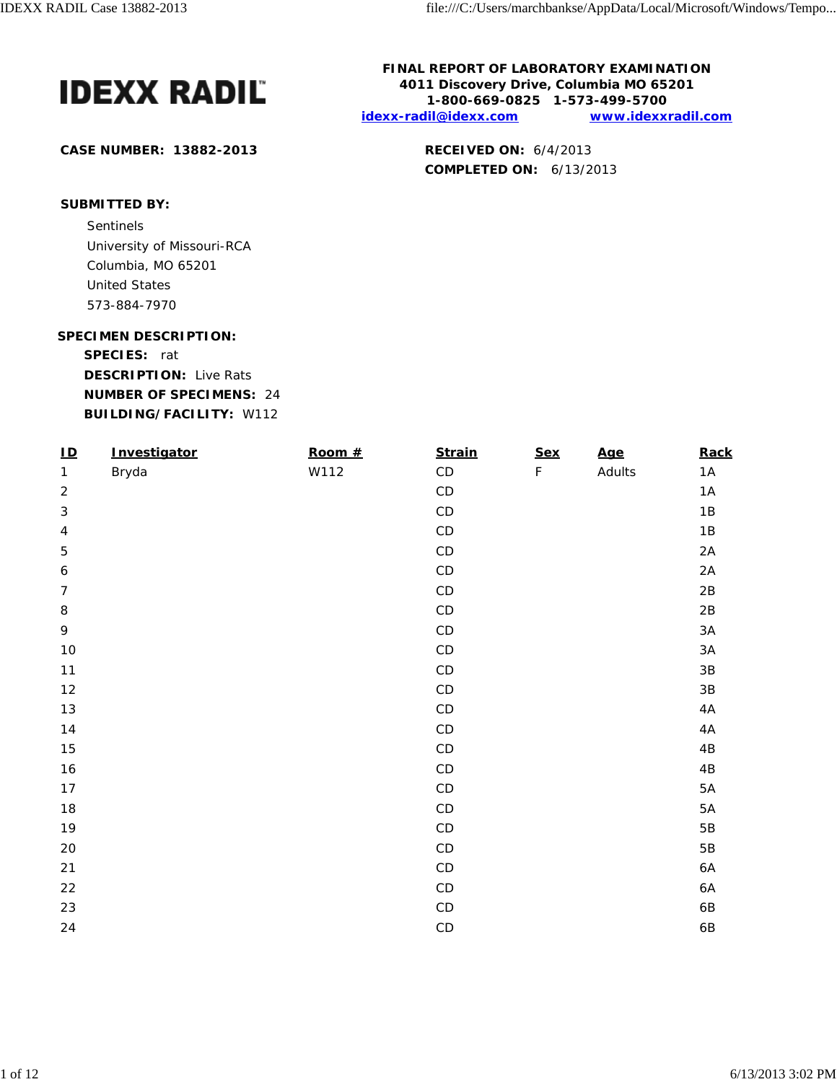

**CASE NUMBER: 13882-2013 RECEIVED ON:** 6/4/2013

**FINAL REPORT OF LABORATORY EXAMINATION 4011 Discovery Drive, Columbia MO 65201 1-800-669-0825 1-573-499-5700 idexx-radil@idexx.com www.idexxradil.com**

**COMPLETED ON:** 6/13/2013

# **SUBMITTED BY:**

Sentinels and the sense of the sense of the sense of the sense of the sense of the sense of the sense of the sense of the sense of the sense of the sense of the sense of the sense of the sense of the sense of the sense of University of Missouri-RCA Columbia, MO 65201 United States 573-884-7970

#### **SPECIMEN DESCRIPTION:**

**SPECIES:** rat

**DESCRIPTION:** Live Rats **NUMBER OF SPECIMENS:** 24 **BUILDING/FACILITY:** W112

| $\underline{\mathsf{ID}}$ | Investigator | Room # | <b>Strain</b> | <b>Sex</b>  | <u>Age</u> | Rack          |
|---------------------------|--------------|--------|---------------|-------------|------------|---------------|
| $\mathbf{1}$              | Bryda        | W112   | $\mathsf{CD}$ | $\mathsf F$ | Adults     | 1A            |
| $\overline{c}$            |              |        | $\mathsf{CD}$ |             |            | 1A            |
| $\sqrt{3}$                |              |        | $\mathsf{CD}$ |             |            | 1B            |
| $\sqrt{4}$                |              |        | $\mathsf{CD}$ |             |            | $1\mathrm{B}$ |
| 5                         |              |        | $\mathsf{CD}$ |             |            | 2A            |
| $\boldsymbol{6}$          |              |        | $\mathsf{CD}$ |             |            | 2A            |
| $\overline{7}$            |              |        | $\mathsf{CD}$ |             |            | $2\mathsf{B}$ |
| 8                         |              |        | $\mathsf{CD}$ |             |            | $2\mathsf{B}$ |
| 9                         |              |        | $\mathsf{CD}$ |             |            | $3A$          |
| $10$                      |              |        | $\mathsf{CD}$ |             |            | $3A$          |
| 11                        |              |        | $\mathsf{CD}$ |             |            | $3\mathsf{B}$ |
| 12                        |              |        | $\mathsf{CD}$ |             |            | $3\mathsf{B}$ |
| 13                        |              |        | $\mathsf{CD}$ |             |            | 4A            |
| $14$                      |              |        | $\mathsf{CD}$ |             |            | 4A            |
| 15                        |              |        | $\mathsf{CD}$ |             |            | 4B            |
| 16                        |              |        | $\mathsf{CD}$ |             |            | $4\mathsf{B}$ |
| 17                        |              |        | $\mathsf{CD}$ |             |            | $5A$          |
| 18                        |              |        | $\mathsf{CD}$ |             |            | $5A$          |
| 19                        |              |        | $\mathsf{CD}$ |             |            | $5B$          |
| 20                        |              |        | $\mathsf{CD}$ |             |            | $5\mathsf{B}$ |
| 21                        |              |        | $\mathsf{CD}$ |             |            | 6A            |
| 22                        |              |        | $\mathsf{CD}$ |             |            | 6A            |
| 23                        |              |        | $\mathsf{CD}$ |             |            | 6B            |
| 24                        |              |        | $\mathsf{CD}$ |             |            | 6B            |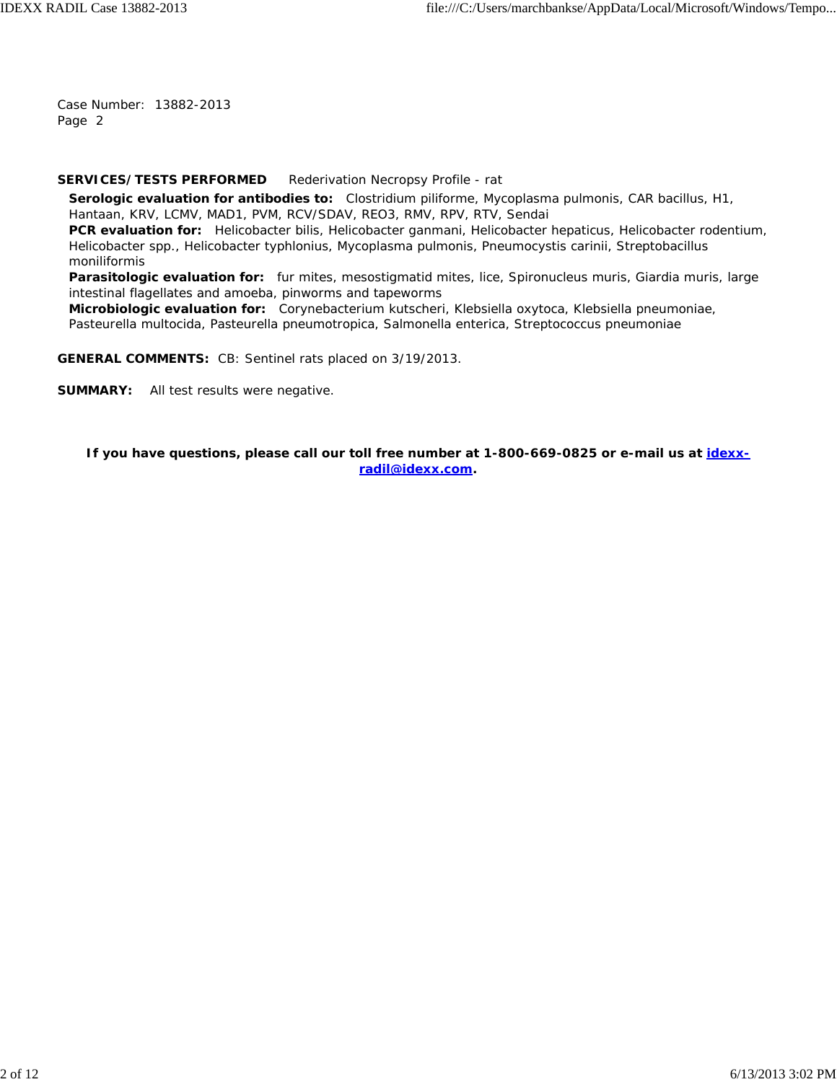#### **SERVICES/TESTS PERFORMED** Rederivation Necropsy Profile - rat

**Serologic evaluation for antibodies to:** *Clostridium piliforme*, *Mycoplasma pulmonis*, CAR bacillus, H1, Hantaan, KRV, LCMV, MAD1, PVM, RCV/SDAV, REO3, RMV, RPV, RTV, Sendai **PCR evaluation for:** *Helicobacter bilis*, *Helicobacter ganmani*, *Helicobacter hepaticus*, *Helicobacter rodentium*,

*Helicobacter* spp., *Helicobacter typhlonius*, *Mycoplasma pulmonis*, *Pneumocystis carinii*, *Streptobacillus moniliformis*

**Parasitologic evaluation for:** fur mites, mesostigmatid mites, lice, Spironucleus muris, Giardia muris, large intestinal flagellates and amoeba, pinworms and tapeworms

**Microbiologic evaluation for:** *Corynebacterium kutscheri*, *Klebsiella oxytoca*, *Klebsiella pneumoniae*, *Pasteurella multocida*, *Pasteurella pneumotropica*, *Salmonella enterica*, *Streptococcus pneumoniae*

**GENERAL COMMENTS:** CB: Sentinel rats placed on 3/19/2013.

**SUMMARY:** All test results were negative.

**If you have questions, please call our toll free number at 1-800-669-0825 or e-mail us at idexxradil@idexx.com.**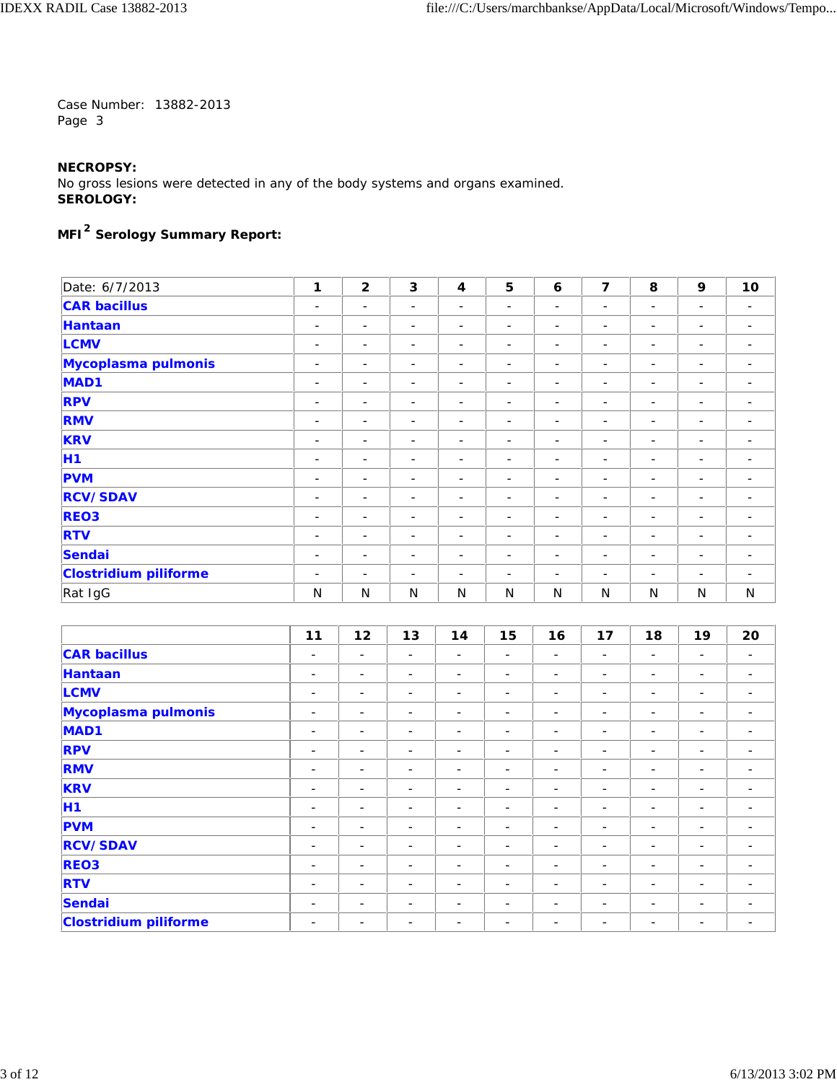## **NECROPSY:**

No gross lesions were detected in any of the body systems and organs examined. **SEROLOGY:**

# **MFI2 Serology Summary Report:**

| Date: 6/7/2013               | 1                        | $\overline{2}$           | 3                        | $\overline{\mathbf{4}}$  | 5                        | 6                        | 7                            | 8                        | 9                        | 10                       |
|------------------------------|--------------------------|--------------------------|--------------------------|--------------------------|--------------------------|--------------------------|------------------------------|--------------------------|--------------------------|--------------------------|
| <b>CAR bacillus</b>          | $\overline{\phantom{a}}$ | $\overline{\phantom{0}}$ | $\overline{\phantom{a}}$ | ۰                        | $\overline{\phantom{a}}$ | -                        | -                            | -                        | $\overline{\phantom{a}}$ | $\overline{\phantom{a}}$ |
| Hantaan                      | $\overline{\phantom{a}}$ | $\overline{\phantom{m}}$ | $\overline{\phantom{a}}$ | $\overline{\phantom{0}}$ | $\overline{\phantom{a}}$ | ۰                        | $\overline{\phantom{0}}$     | -                        | -                        | $\overline{\phantom{a}}$ |
| <b>LCMV</b>                  | $\overline{\phantom{a}}$ | $\overline{\phantom{a}}$ | $\overline{\phantom{a}}$ | -                        | $\overline{\phantom{a}}$ | $\overline{\phantom{a}}$ | -                            | -                        | $\overline{\phantom{a}}$ | $\overline{\phantom{0}}$ |
| Mycoplasma pulmonis          | $\overline{\phantom{a}}$ | $\overline{\phantom{0}}$ | $\overline{\phantom{a}}$ | ۰                        | $\overline{\phantom{a}}$ | -                        | $\qquad \qquad -$            | -                        | $\overline{\phantom{a}}$ |                          |
| MAD <sub>1</sub>             | $\overline{\phantom{a}}$ | $\overline{\phantom{m}}$ | $\overline{\phantom{a}}$ | ۰                        | $\overline{\phantom{a}}$ | ۰                        | -                            | -                        | -                        | $\overline{\phantom{0}}$ |
| <b>RPV</b>                   | $\overline{\phantom{a}}$ | $\overline{\phantom{a}}$ | $\overline{\phantom{a}}$ | ۰                        | $\overline{\phantom{a}}$ | $\overline{\phantom{a}}$ | -                            | -                        | $\overline{\phantom{a}}$ | $\overline{\phantom{0}}$ |
| <b>RMV</b>                   | $\overline{\phantom{a}}$ | $\overline{\phantom{0}}$ | $\overline{\phantom{a}}$ | $\overline{\phantom{0}}$ | $\overline{\phantom{a}}$ | ۰                        | $\overline{\phantom{0}}$     | -                        | ٠                        | $\overline{\phantom{0}}$ |
| <b>KRV</b>                   | $\overline{\phantom{a}}$ | $\overline{\phantom{m}}$ | $\overline{\phantom{a}}$ | -                        | $\overline{\phantom{a}}$ | $\overline{\phantom{a}}$ | $\overline{\phantom{a}}$     | -                        | -                        | $\overline{\phantom{0}}$ |
| <b>H1</b>                    | $\overline{\phantom{a}}$ | -                        | $\overline{\phantom{a}}$ | -                        | $\overline{\phantom{a}}$ | -                        | -                            | -                        | -                        |                          |
| <b>PVM</b>                   | $\overline{\phantom{a}}$ | $\overline{\phantom{0}}$ | $\overline{\phantom{a}}$ | ۰                        | $\overline{\phantom{a}}$ | ۰                        | $\qquad \qquad -$            | ۰                        | $\overline{\phantom{a}}$ |                          |
| <b>RCV/SDAV</b>              | $\overline{\phantom{a}}$ | $\overline{\phantom{a}}$ | $\overline{\phantom{a}}$ | -                        | $\overline{\phantom{a}}$ | $\overline{\phantom{a}}$ | -                            | -                        | $\overline{\phantom{a}}$ | $\overline{\phantom{0}}$ |
| REO <sub>3</sub>             | $\overline{\phantom{a}}$ | $\overline{\phantom{m}}$ | $\overline{\phantom{a}}$ | $\overline{\phantom{0}}$ | $\overline{\phantom{a}}$ | ۰                        | Ξ.                           | -                        | -                        |                          |
| <b>RTV</b>                   | $\overline{\phantom{a}}$ | $\overline{\phantom{0}}$ | $\overline{\phantom{a}}$ | $\overline{\phantom{a}}$ | $\overline{\phantom{a}}$ | $\overline{\phantom{a}}$ | $\qquad \qquad \blacksquare$ | $\overline{\phantom{a}}$ | ۰                        | $\overline{\phantom{a}}$ |
| Sendai                       | $\overline{\phantom{a}}$ | $\overline{\phantom{a}}$ | $\overline{\phantom{a}}$ | -                        | $\overline{\phantom{a}}$ | $\overline{\phantom{a}}$ | -                            | ۰                        | -                        | $\qquad \qquad$          |
| <b>Clostridium piliforme</b> | $\overline{\phantom{a}}$ | $\overline{\phantom{0}}$ | $\overline{\phantom{a}}$ | ۰                        | $\overline{\phantom{a}}$ | ۰                        | Ξ.                           | $\overline{\phantom{0}}$ | -                        |                          |
| Rat IgG                      | N                        | N                        | N                        | N                        | N                        | N                        | N                            | N                        | N                        | N                        |

|                              | 11                       | 12                       | 13                       | 14                       | 15                       | 16                       | 17                       | 18                       | 19                       | 20                       |
|------------------------------|--------------------------|--------------------------|--------------------------|--------------------------|--------------------------|--------------------------|--------------------------|--------------------------|--------------------------|--------------------------|
| <b>CAR bacillus</b>          | $\overline{\phantom{a}}$ | $\overline{\phantom{0}}$ | $\qquad \qquad -$        | $\overline{\phantom{a}}$ | $\overline{\phantom{a}}$ | $\overline{\phantom{0}}$ | $\overline{\phantom{a}}$ | ۰                        | $\overline{\phantom{m}}$ | $\overline{\phantom{0}}$ |
| Hantaan                      | $\overline{\phantom{a}}$ | $\overline{\phantom{a}}$ | $\overline{\phantom{a}}$ | $\overline{\phantom{a}}$ | $\overline{\phantom{a}}$ | $\overline{\phantom{0}}$ | $\overline{\phantom{a}}$ | -                        | $\overline{\phantom{a}}$ | $\overline{\phantom{0}}$ |
| <b>LCMV</b>                  | -                        | $\overline{\phantom{0}}$ | $\overline{\phantom{a}}$ | $\overline{\phantom{a}}$ | $\overline{\phantom{a}}$ | $\overline{\phantom{0}}$ | -                        | -                        | -                        | -                        |
| Mycoplasma pulmonis          | $\overline{\phantom{a}}$ | $\overline{\phantom{a}}$ | $\overline{\phantom{a}}$ | $\overline{\phantom{0}}$ | $\overline{\phantom{a}}$ | $\overline{\phantom{a}}$ | $\overline{\phantom{a}}$ | -                        | $\overline{\phantom{m}}$ | $\qquad \qquad$          |
| MAD <sub>1</sub>             | $\overline{\phantom{a}}$ | $\overline{\phantom{0}}$ | $\qquad \qquad -$        | $\overline{\phantom{a}}$ | $\overline{\phantom{a}}$ | $\qquad \qquad$          | -                        | -                        | $\overline{\phantom{a}}$ | $\qquad \qquad$          |
| <b>RPV</b>                   | $\overline{\phantom{a}}$ | $\overline{\phantom{0}}$ | $\overline{\phantom{a}}$ | $\overline{\phantom{a}}$ | $\overline{\phantom{a}}$ | -                        | $\overline{\phantom{a}}$ | -                        | $\overline{\phantom{m}}$ | $\overline{\phantom{a}}$ |
| <b>RMV</b>                   | $\overline{\phantom{a}}$ | $\qquad \qquad$          | $\overline{\phantom{a}}$ | $\overline{\phantom{a}}$ | $\overline{\phantom{a}}$ | $\qquad \qquad$          | -                        | $\overline{a}$           | -                        | -                        |
| <b>KRV</b>                   | $\overline{\phantom{a}}$ | $\overline{\phantom{0}}$ | $\blacksquare$           | $\overline{\phantom{a}}$ | $\overline{\phantom{a}}$ | $\overline{\phantom{a}}$ | $\overline{\phantom{a}}$ | ۰                        | $\overline{\phantom{m}}$ | $\overline{\phantom{a}}$ |
| <b>H1</b>                    | -                        | $\overline{\phantom{a}}$ | $\qquad \qquad -$        | $\overline{\phantom{a}}$ | $\overline{\phantom{a}}$ | $\qquad \qquad$          | -                        | -                        | -                        | -                        |
| <b>PVM</b>                   | $\overline{\phantom{a}}$ | $\overline{\phantom{a}}$ | $\qquad \qquad -$        | $\overline{\phantom{a}}$ | $\overline{\phantom{a}}$ | $\overline{\phantom{a}}$ | $\overline{\phantom{0}}$ | $\overline{\phantom{0}}$ | $\overline{\phantom{m}}$ | ۰                        |
| <b>RCV/SDAV</b>              | -                        | $\overline{\phantom{0}}$ | $\overline{\phantom{a}}$ | $\overline{\phantom{0}}$ | $\overline{\phantom{a}}$ |                          | -                        | -                        | $\overline{\phantom{a}}$ |                          |
| <b>REO3</b>                  | $\overline{\phantom{a}}$ | $\overline{\phantom{a}}$ | $\qquad \qquad -$        | $\overline{\phantom{a}}$ | $\overline{\phantom{a}}$ | $\qquad \qquad$          | $\overline{\phantom{a}}$ | -                        | $\overline{\phantom{a}}$ | $\qquad \qquad$          |
| <b>RTV</b>                   | $\overline{\phantom{a}}$ | $\overline{\phantom{a}}$ | $\qquad \qquad -$        | $\overline{\phantom{a}}$ | $\overline{\phantom{a}}$ | $\qquad \qquad$          | -                        | -                        | $\overline{\phantom{a}}$ | -                        |
| Sendai                       | -                        | $\overline{\phantom{0}}$ | $\qquad \qquad -$        | <b>1</b>                 | -                        |                          | $\overline{\phantom{a}}$ | -                        | $\overline{\phantom{a}}$ |                          |
| <b>Clostridium piliforme</b> | $\overline{\phantom{a}}$ | $\overline{\phantom{0}}$ | $\qquad \qquad -$        | $\overline{\phantom{a}}$ | $\overline{\phantom{a}}$ | $\overline{\phantom{a}}$ | $\overline{\phantom{a}}$ | -                        | $\overline{\phantom{a}}$ | ۰                        |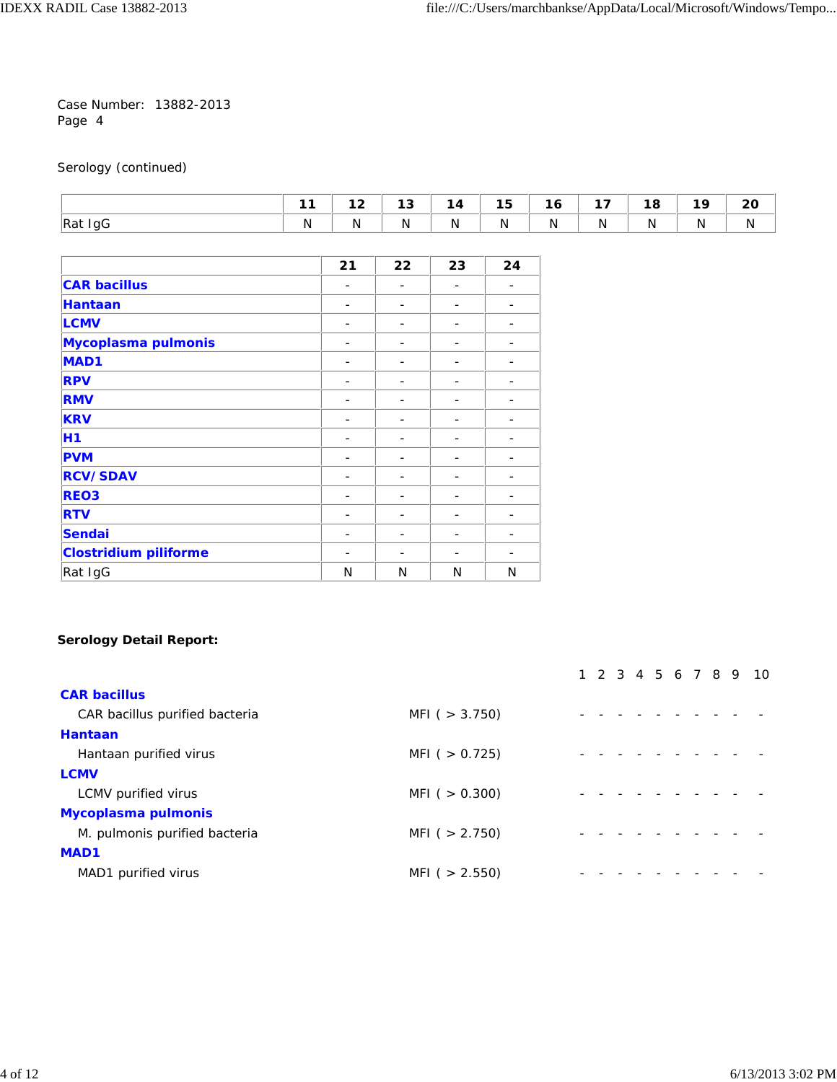## Serology (continued)

|                    |   | . . | . .<br>د،<br>___ | 4 | - -<br>. .<br>. . | $\sim$<br>i o | --          | - -<br>. .<br>____ |   | 20<br>$\sim$ |
|--------------------|---|-----|------------------|---|-------------------|---------------|-------------|--------------------|---|--------------|
| InG<br>$\vert$ Rat | N | יי  | N<br>. .         | N | ΙN                | A.            | $\sim$<br>в | W.                 | ı | N            |

|                              | 21              | 22 | 23 | 24 |
|------------------------------|-----------------|----|----|----|
| <b>CAR bacillus</b>          |                 |    |    |    |
| <b>Hantaan</b>               | -               |    | ۰  |    |
| <b>LCMV</b>                  | $\qquad \qquad$ |    | ۰  |    |
| Mycoplasma pulmonis          | -               | -  | -  |    |
| <b>MAD1</b>                  | -               |    | ۰  |    |
| <b>RPV</b>                   |                 |    |    |    |
| <b>RMV</b>                   |                 |    |    |    |
| <b>KRV</b>                   | -               |    | ۰  |    |
| H1                           | -               |    | ۰  |    |
| <b>PVM</b>                   | -               |    | ۰  |    |
| <b>RCV/SDAV</b>              |                 |    | ۰  |    |
| REO <sub>3</sub>             |                 |    |    |    |
| <b>RTV</b>                   |                 |    |    |    |
| <b>Sendai</b>                | -               |    | ۰  |    |
| <b>Clostridium piliforme</b> | -               |    | ۰  |    |
| Rat IgG                      | N               | N  | N  | N  |

## **Serology Detail Report:**

| MFI ( $>$ 3.750)  |  |  |  |  |                      |
|-------------------|--|--|--|--|----------------------|
|                   |  |  |  |  |                      |
| MFI ( $> 0.725$ ) |  |  |  |  |                      |
|                   |  |  |  |  |                      |
| MFI ( $> 0.300$ ) |  |  |  |  |                      |
|                   |  |  |  |  |                      |
| MFI ( $> 2.750$ ) |  |  |  |  |                      |
|                   |  |  |  |  |                      |
| MFI ( $> 2.550$ ) |  |  |  |  |                      |
|                   |  |  |  |  | 1 2 3 4 5 6 7 8 9 10 |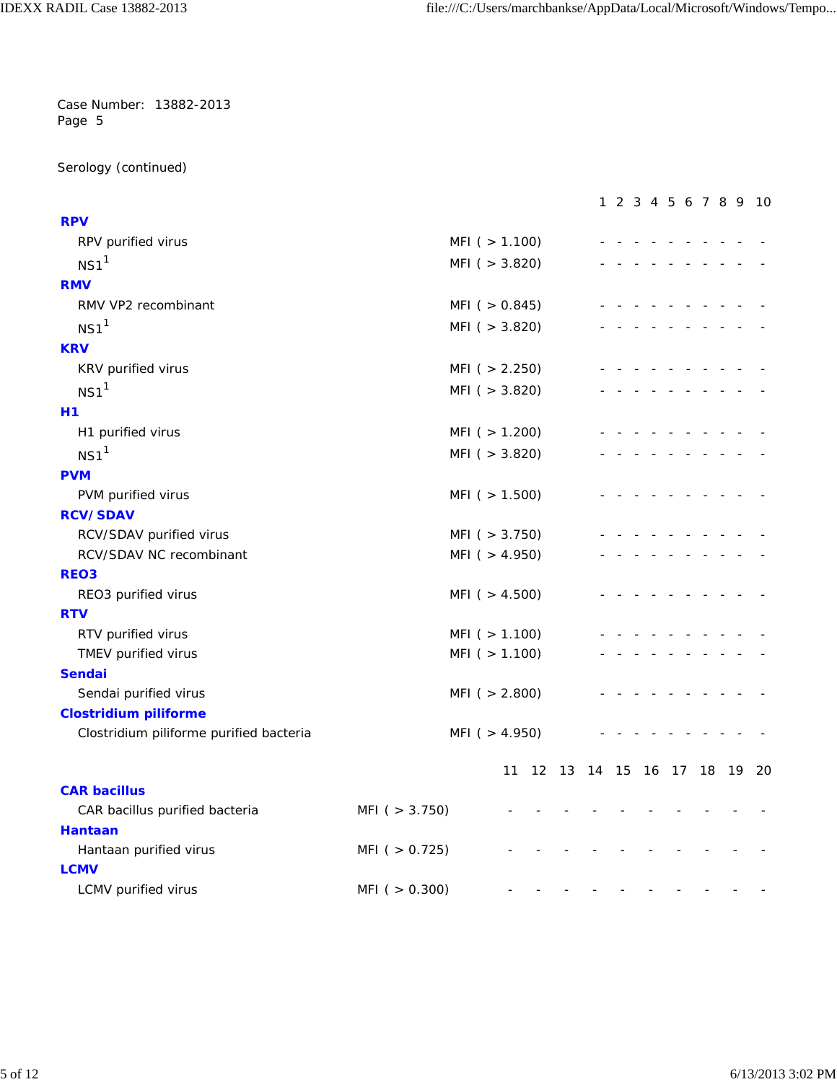Serology (continued)

| RPV purified virus<br>MFI ( > 1.100)<br>NS1 <sup>1</sup><br>MFI( > 3.820)<br>MFI( > 0.845)<br>RMV VP2 recombinant<br>$NS1$ <sup>1</sup><br>MFI( > 3.820)<br>KRV purified virus<br>MFI( > 2.250)<br>NS1 <sup>1</sup><br>MFI( > 3.820)<br>H1 purified virus<br>MFI( > 1.200)<br>$NS1$ <sup>1</sup><br>MFI( > 3.820)<br>PVM purified virus<br>MFI( > 1.500)<br>RCV/SDAV purified virus<br>MFI( > 3.750)<br>RCV/SDAV NC recombinant<br>MFI( > 4.950)<br>REO3 purified virus<br>MFI ( $> 4.500$ )<br>RTV purified virus<br>MFI( > 1.100)<br>MFI ( $> 1.100$ )<br>TMEV purified virus<br>Sendai purified virus<br>MFI( > 2.800)<br>Clostridium piliforme purified bacteria<br>MFI( > 4.950)<br>12 13 14 15 16 17 18 19 20<br>11<br><b>CAR bacillus</b><br>CAR bacillus purified bacteria<br>MFI( > 3.750)<br><b>Hantaan</b><br>MFI( > 0.725)<br>Hantaan purified virus<br><b>LCMV</b> |                              |                     |  |  |  |  | 1 2 3 4 5 6 7 8 9 10 |  |
|---------------------------------------------------------------------------------------------------------------------------------------------------------------------------------------------------------------------------------------------------------------------------------------------------------------------------------------------------------------------------------------------------------------------------------------------------------------------------------------------------------------------------------------------------------------------------------------------------------------------------------------------------------------------------------------------------------------------------------------------------------------------------------------------------------------------------------------------------------------------------------|------------------------------|---------------------|--|--|--|--|----------------------|--|
|                                                                                                                                                                                                                                                                                                                                                                                                                                                                                                                                                                                                                                                                                                                                                                                                                                                                                 | <b>RPV</b>                   |                     |  |  |  |  |                      |  |
|                                                                                                                                                                                                                                                                                                                                                                                                                                                                                                                                                                                                                                                                                                                                                                                                                                                                                 |                              |                     |  |  |  |  |                      |  |
|                                                                                                                                                                                                                                                                                                                                                                                                                                                                                                                                                                                                                                                                                                                                                                                                                                                                                 |                              |                     |  |  |  |  |                      |  |
|                                                                                                                                                                                                                                                                                                                                                                                                                                                                                                                                                                                                                                                                                                                                                                                                                                                                                 | <b>RMV</b>                   |                     |  |  |  |  |                      |  |
|                                                                                                                                                                                                                                                                                                                                                                                                                                                                                                                                                                                                                                                                                                                                                                                                                                                                                 |                              |                     |  |  |  |  |                      |  |
|                                                                                                                                                                                                                                                                                                                                                                                                                                                                                                                                                                                                                                                                                                                                                                                                                                                                                 |                              |                     |  |  |  |  |                      |  |
|                                                                                                                                                                                                                                                                                                                                                                                                                                                                                                                                                                                                                                                                                                                                                                                                                                                                                 | <b>KRV</b>                   |                     |  |  |  |  |                      |  |
|                                                                                                                                                                                                                                                                                                                                                                                                                                                                                                                                                                                                                                                                                                                                                                                                                                                                                 |                              |                     |  |  |  |  |                      |  |
|                                                                                                                                                                                                                                                                                                                                                                                                                                                                                                                                                                                                                                                                                                                                                                                                                                                                                 |                              |                     |  |  |  |  |                      |  |
|                                                                                                                                                                                                                                                                                                                                                                                                                                                                                                                                                                                                                                                                                                                                                                                                                                                                                 | Η1                           |                     |  |  |  |  |                      |  |
|                                                                                                                                                                                                                                                                                                                                                                                                                                                                                                                                                                                                                                                                                                                                                                                                                                                                                 |                              |                     |  |  |  |  |                      |  |
|                                                                                                                                                                                                                                                                                                                                                                                                                                                                                                                                                                                                                                                                                                                                                                                                                                                                                 |                              |                     |  |  |  |  |                      |  |
|                                                                                                                                                                                                                                                                                                                                                                                                                                                                                                                                                                                                                                                                                                                                                                                                                                                                                 | <b>PVM</b>                   |                     |  |  |  |  |                      |  |
|                                                                                                                                                                                                                                                                                                                                                                                                                                                                                                                                                                                                                                                                                                                                                                                                                                                                                 |                              |                     |  |  |  |  |                      |  |
|                                                                                                                                                                                                                                                                                                                                                                                                                                                                                                                                                                                                                                                                                                                                                                                                                                                                                 | <b>RCV/SDAV</b>              |                     |  |  |  |  |                      |  |
|                                                                                                                                                                                                                                                                                                                                                                                                                                                                                                                                                                                                                                                                                                                                                                                                                                                                                 |                              |                     |  |  |  |  |                      |  |
|                                                                                                                                                                                                                                                                                                                                                                                                                                                                                                                                                                                                                                                                                                                                                                                                                                                                                 |                              |                     |  |  |  |  |                      |  |
|                                                                                                                                                                                                                                                                                                                                                                                                                                                                                                                                                                                                                                                                                                                                                                                                                                                                                 | REO <sub>3</sub>             |                     |  |  |  |  |                      |  |
|                                                                                                                                                                                                                                                                                                                                                                                                                                                                                                                                                                                                                                                                                                                                                                                                                                                                                 |                              |                     |  |  |  |  |                      |  |
|                                                                                                                                                                                                                                                                                                                                                                                                                                                                                                                                                                                                                                                                                                                                                                                                                                                                                 | <b>RTV</b>                   |                     |  |  |  |  |                      |  |
|                                                                                                                                                                                                                                                                                                                                                                                                                                                                                                                                                                                                                                                                                                                                                                                                                                                                                 |                              |                     |  |  |  |  |                      |  |
|                                                                                                                                                                                                                                                                                                                                                                                                                                                                                                                                                                                                                                                                                                                                                                                                                                                                                 |                              |                     |  |  |  |  |                      |  |
|                                                                                                                                                                                                                                                                                                                                                                                                                                                                                                                                                                                                                                                                                                                                                                                                                                                                                 | <b>Sendai</b>                |                     |  |  |  |  |                      |  |
|                                                                                                                                                                                                                                                                                                                                                                                                                                                                                                                                                                                                                                                                                                                                                                                                                                                                                 |                              |                     |  |  |  |  |                      |  |
|                                                                                                                                                                                                                                                                                                                                                                                                                                                                                                                                                                                                                                                                                                                                                                                                                                                                                 | <b>Clostridium piliforme</b> |                     |  |  |  |  |                      |  |
|                                                                                                                                                                                                                                                                                                                                                                                                                                                                                                                                                                                                                                                                                                                                                                                                                                                                                 |                              |                     |  |  |  |  |                      |  |
|                                                                                                                                                                                                                                                                                                                                                                                                                                                                                                                                                                                                                                                                                                                                                                                                                                                                                 |                              |                     |  |  |  |  |                      |  |
|                                                                                                                                                                                                                                                                                                                                                                                                                                                                                                                                                                                                                                                                                                                                                                                                                                                                                 |                              |                     |  |  |  |  |                      |  |
|                                                                                                                                                                                                                                                                                                                                                                                                                                                                                                                                                                                                                                                                                                                                                                                                                                                                                 |                              |                     |  |  |  |  |                      |  |
|                                                                                                                                                                                                                                                                                                                                                                                                                                                                                                                                                                                                                                                                                                                                                                                                                                                                                 |                              |                     |  |  |  |  |                      |  |
|                                                                                                                                                                                                                                                                                                                                                                                                                                                                                                                                                                                                                                                                                                                                                                                                                                                                                 |                              |                     |  |  |  |  |                      |  |
|                                                                                                                                                                                                                                                                                                                                                                                                                                                                                                                                                                                                                                                                                                                                                                                                                                                                                 | LCMV purified virus          | $MFI$ ( $> 0.300$ ) |  |  |  |  |                      |  |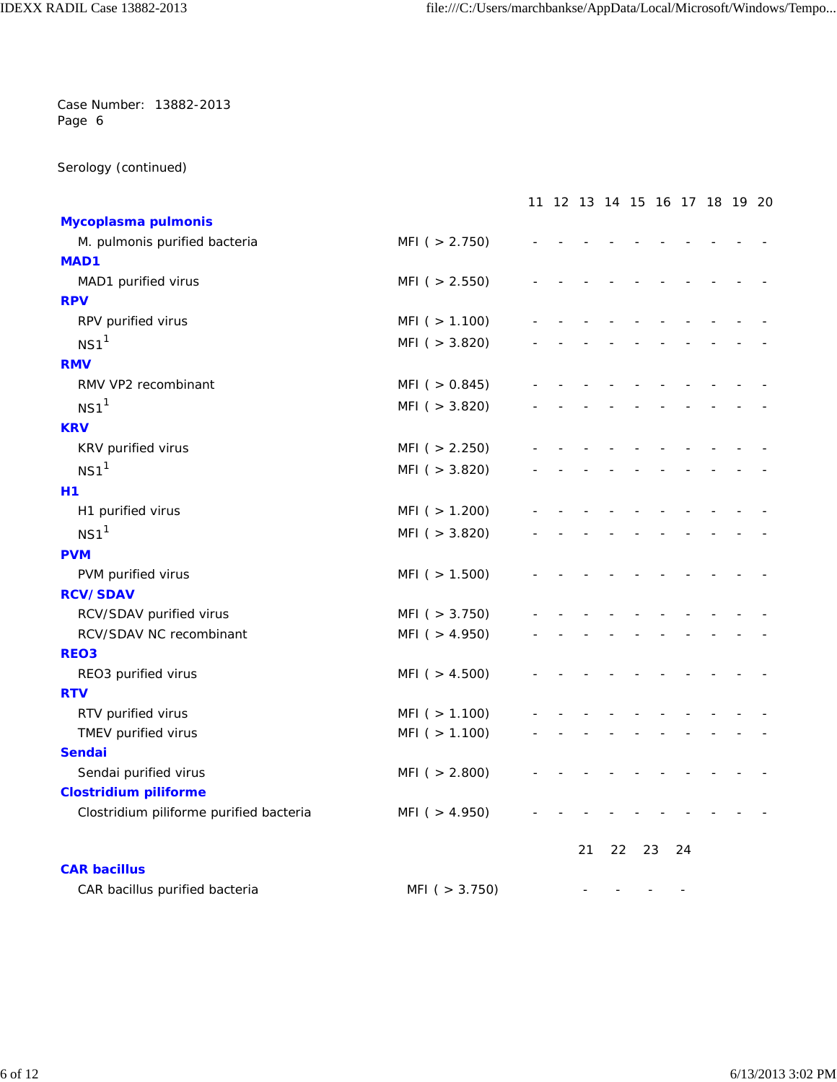Serology (continued)

|                                         |                     | 11 12 13 14 15 16 17 18 19 20 |    |    |    |    |  |  |
|-----------------------------------------|---------------------|-------------------------------|----|----|----|----|--|--|
| Mycoplasma pulmonis                     |                     |                               |    |    |    |    |  |  |
| M. pulmonis purified bacteria           | MFI( > 2.750)       |                               |    |    |    |    |  |  |
| MAD1                                    |                     |                               |    |    |    |    |  |  |
| MAD1 purified virus                     | MFI( > 2.550)       |                               |    |    |    |    |  |  |
| <b>RPV</b>                              |                     |                               |    |    |    |    |  |  |
| RPV purified virus                      | MFI( > 1.100)       |                               |    |    |    |    |  |  |
| NS1 <sup>1</sup>                        | MFI( > 3.820)       |                               |    |    |    |    |  |  |
| <b>RMV</b>                              |                     |                               |    |    |    |    |  |  |
| RMV VP2 recombinant                     | MFI( > 0.845)       |                               |    |    |    |    |  |  |
| NS1 <sup>1</sup>                        | MFI( > 3.820)       |                               |    |    |    |    |  |  |
| <b>KRV</b>                              |                     |                               |    |    |    |    |  |  |
| KRV purified virus                      | MFI( > 2.250)       |                               |    |    |    |    |  |  |
| $NS1$ <sup>1</sup>                      | MFI( > 3.820)       |                               |    |    |    |    |  |  |
| H1                                      |                     |                               |    |    |    |    |  |  |
| H1 purified virus                       | MFI( > 1.200)       |                               |    |    |    |    |  |  |
| $NS1$ <sup>1</sup>                      | MFI( > 3.820)       |                               |    |    |    |    |  |  |
| <b>PVM</b>                              |                     |                               |    |    |    |    |  |  |
| PVM purified virus                      | MFI( > 1.500)       |                               |    |    |    |    |  |  |
| <b>RCV/SDAV</b>                         |                     |                               |    |    |    |    |  |  |
| RCV/SDAV purified virus                 | MFI( > 3.750)       |                               |    |    |    |    |  |  |
| RCV/SDAV NC recombinant                 | MFI ( $> 4.950$ )   |                               |    |    |    |    |  |  |
| <b>REO3</b>                             |                     |                               |    |    |    |    |  |  |
| REO3 purified virus                     | $MFI$ ( $> 4.500$ ) |                               |    |    |    |    |  |  |
| <b>RTV</b>                              |                     |                               |    |    |    |    |  |  |
| RTV purified virus                      | MFI( > 1.100)       |                               |    |    |    |    |  |  |
| TMEV purified virus                     | MFI( > 1.100)       |                               |    |    |    |    |  |  |
| <b>Sendai</b>                           |                     |                               |    |    |    |    |  |  |
| Sendai purified virus                   | MFI( > 2.800)       |                               |    |    |    |    |  |  |
| <b>Clostridium piliforme</b>            |                     |                               |    |    |    |    |  |  |
| Clostridium piliforme purified bacteria | MFI( > 4.950)       |                               |    |    |    |    |  |  |
|                                         |                     |                               | 21 | 22 | 23 | 24 |  |  |
| <b>CAR bacillus</b>                     |                     |                               |    |    |    |    |  |  |
| CAR bacillus purified bacteria          | MFI (> 3.750)       |                               |    |    |    |    |  |  |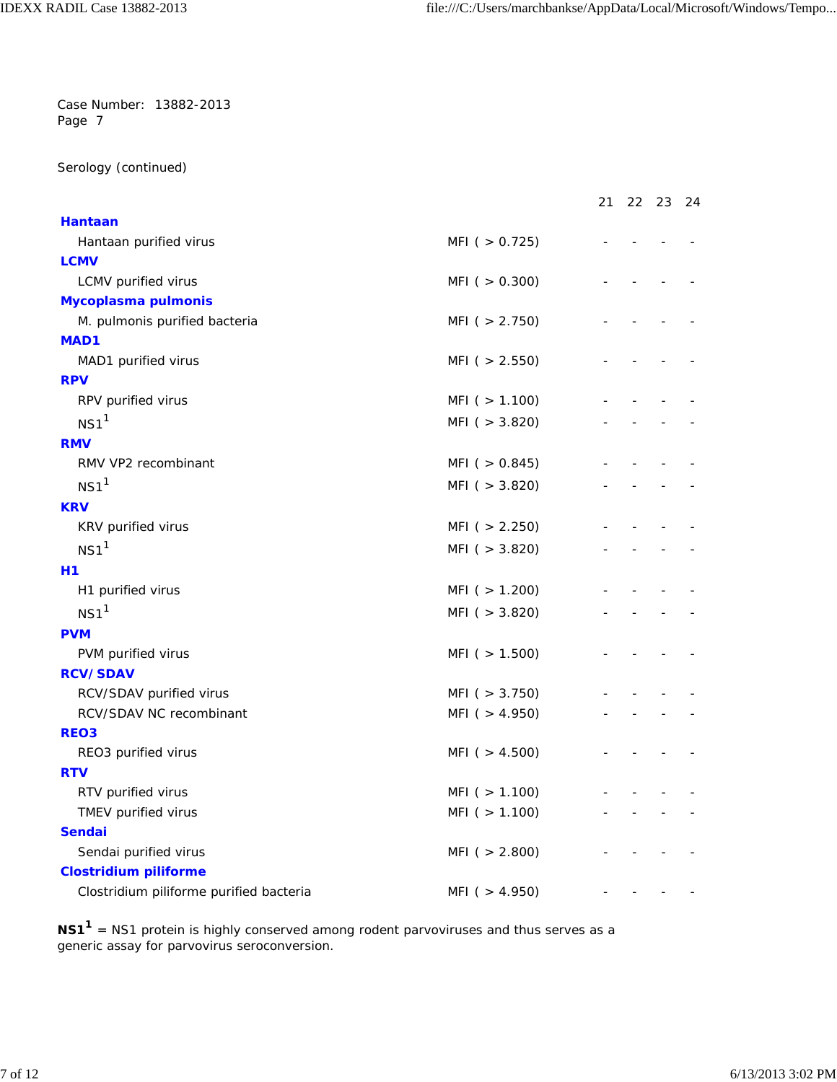Serology (continued)

|                                         |                   | 21 | 22 | -23 | -24 |
|-----------------------------------------|-------------------|----|----|-----|-----|
| <b>Hantaan</b>                          |                   |    |    |     |     |
| Hantaan purified virus                  | MFI( > 0.725)     |    |    |     |     |
| <b>LCMV</b>                             |                   |    |    |     |     |
| LCMV purified virus                     | MFI( > 0.300)     |    |    |     |     |
| Mycoplasma pulmonis                     |                   |    |    |     |     |
| M. pulmonis purified bacteria           | MFI ( $> 2.750$ ) |    |    |     |     |
| <b>MAD1</b>                             |                   |    |    |     |     |
| MAD1 purified virus                     | MFI( > 2.550)     |    |    |     |     |
| <b>RPV</b>                              |                   |    |    |     |     |
| RPV purified virus                      | MFI( > 1.100)     |    |    |     |     |
| $NS1$ <sup>1</sup>                      | MFI( > 3.820)     |    |    |     |     |
| <b>RMV</b>                              |                   |    |    |     |     |
| RMV VP2 recombinant                     | MFI $( > 0.845)$  |    |    |     |     |
| $NS1$ <sup>1</sup>                      | MFI( > 3.820)     |    |    |     |     |
| <b>KRV</b>                              |                   |    |    |     |     |
| KRV purified virus                      | MFI( > 2.250)     |    |    |     |     |
| $NS1$ <sup>1</sup>                      | MFI( > 3.820)     |    |    |     |     |
|                                         |                   |    |    |     |     |
| <b>H1</b><br>H1 purified virus          | MFI( > 1.200)     |    |    |     |     |
|                                         |                   |    |    |     |     |
| $NS1$ <sup>1</sup>                      | MFI( > 3.820)     |    |    |     |     |
| <b>PVM</b>                              |                   |    |    |     |     |
| PVM purified virus                      | MFI ( $> 1.500$ ) |    |    |     |     |
| <b>RCV/SDAV</b>                         |                   |    |    |     |     |
| RCV/SDAV purified virus                 | MFI( > 3.750)     |    |    |     |     |
| RCV/SDAV NC recombinant                 | MFI( > 4.950)     |    |    |     |     |
| <b>REO3</b>                             |                   |    |    |     |     |
| REO3 purified virus                     | MFI ( $> 4.500$ ) |    |    |     |     |
| <b>RTV</b>                              |                   |    |    |     |     |
| RTV purified virus                      | MFI( > 1.100)     |    |    |     |     |
| TMEV purified virus                     | MFI( > 1.100)     |    |    |     |     |
| <b>Sendai</b>                           |                   |    |    |     |     |
| Sendai purified virus                   | MFI( > 2.800)     |    |    |     |     |
| <b>Clostridium piliforme</b>            |                   |    |    |     |     |
| Clostridium piliforme purified bacteria | MFI( > 4.950)     |    |    |     |     |

**NS11** = NS1 protein is highly conserved among rodent parvoviruses and thus serves as a generic assay for parvovirus seroconversion.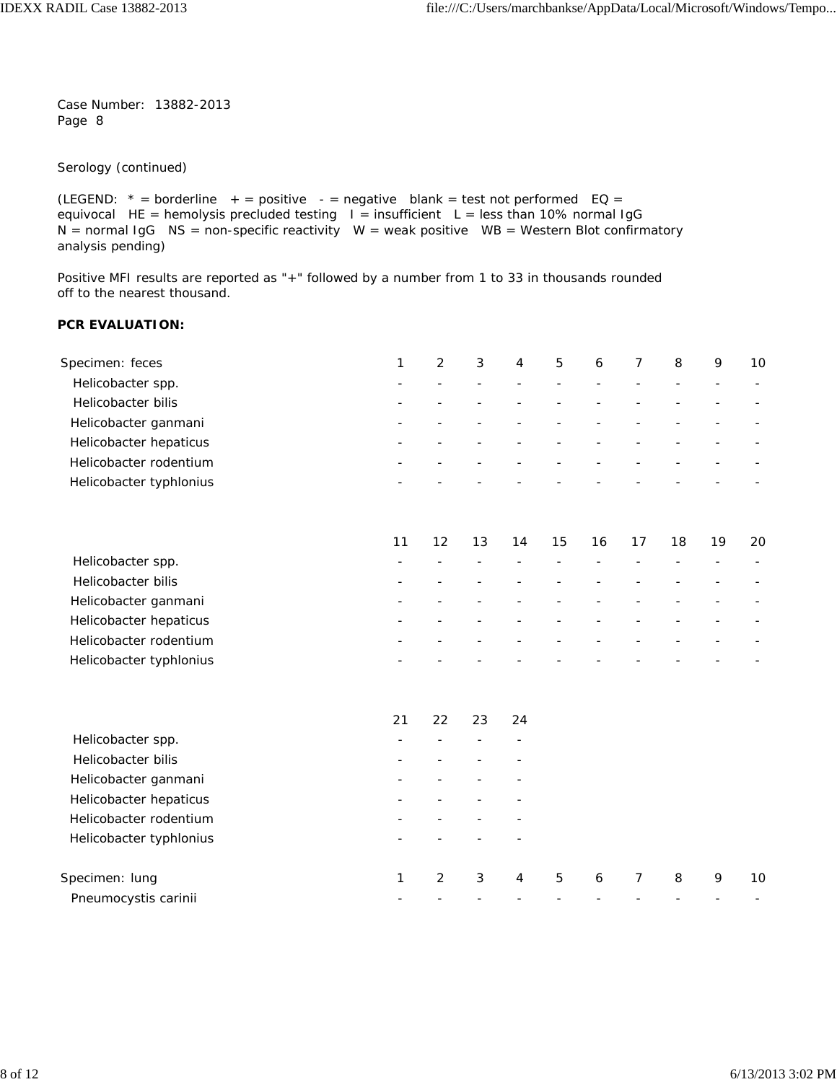Serology (continued)

```
(LEGEND: * = borderline + = positive - = negative blank = test not performed EQ =
equivocal HE = hemolysis precluded testing I = insufficient L = less than 10% normal IgG
N = normal IgG NS = non-specific reactivity W = weak positive WB = Western Blot confirmatory
analysis pending)
```
Positive MFI results are reported as "+" followed by a number from 1 to 33 in thousands rounded off to the nearest thousand.

#### **PCR EVALUATION:**

| Specimen: feces         | 1  | 2                 | 3  | 4  | 5  | 6  |    | 8  | 9  | 10 |
|-------------------------|----|-------------------|----|----|----|----|----|----|----|----|
| Helicobacter spp.       |    |                   |    |    |    |    |    |    |    |    |
| Helicobacter bilis      |    |                   |    |    |    |    |    |    |    |    |
| Helicobacter ganmani    |    |                   |    |    |    |    |    |    |    |    |
| Helicobacter hepaticus  |    |                   |    |    |    |    |    |    |    |    |
| Helicobacter rodentium  |    |                   |    |    |    |    |    |    |    |    |
| Helicobacter typhlonius |    |                   |    |    |    |    |    |    |    |    |
|                         | 11 | $12 \overline{ }$ | 13 | 14 | 15 | 16 | 17 | 18 | 19 | 20 |
| Helicobacter spp.       |    |                   |    |    |    |    |    |    |    |    |
| Helicobacter bilis      |    |                   |    |    |    |    |    |    |    |    |
| Helicobacter ganmani    |    |                   |    |    |    |    |    |    |    |    |
| Helicobacter benaticus  |    |                   |    |    |    |    |    |    |    |    |

| Helicobacter hepaticus  | $\sim$ $\sim$    | -                        | $\sim$                   | $\sim$                   | $\sim$                            | $\sim$                     | $\sim$                   |                                                 |                          |                          |
|-------------------------|------------------|--------------------------|--------------------------|--------------------------|-----------------------------------|----------------------------|--------------------------|-------------------------------------------------|--------------------------|--------------------------|
| Helicobacter rodentium  | $\sim$ $\sim$    | $\overline{\phantom{0}}$ | $\overline{\phantom{0}}$ | $\overline{\phantom{0}}$ | $\overline{\phantom{0}}$          | -                          | $\overline{\phantom{0}}$ | $\overline{\phantom{0}}$                        | $\overline{\phantom{0}}$ | $\overline{\phantom{a}}$ |
| Helicobacter typhlonius | $\sim$ 100 $\mu$ | $\sim$                   | $\sim$                   |                          | the control of the control of the | the company of the company |                          | the contract of the contract of the contract of |                          | $\sim$                   |
|                         |                  |                          |                          |                          |                                   |                            |                          |                                                 |                          |                          |
|                         |                  |                          |                          |                          |                                   |                            |                          |                                                 |                          |                          |

|                         | 21           | 22 | 23 | 24 |   |   |   |   |    |
|-------------------------|--------------|----|----|----|---|---|---|---|----|
| Helicobacter spp.       |              |    |    |    |   |   |   |   |    |
| Helicobacter bilis      |              |    |    |    |   |   |   |   |    |
| Helicobacter ganmani    |              |    |    |    |   |   |   |   |    |
| Helicobacter hepaticus  |              |    |    |    |   |   |   |   |    |
| Helicobacter rodentium  |              |    |    |    |   |   |   |   |    |
| Helicobacter typhlonius |              |    |    |    |   |   |   |   |    |
| Specimen: lung          | $\mathbf{1}$ | 2  | 3  | 4  | 5 | 6 | 8 | 9 | 10 |
| Pneumocystis carinii    |              |    |    |    |   |   |   |   |    |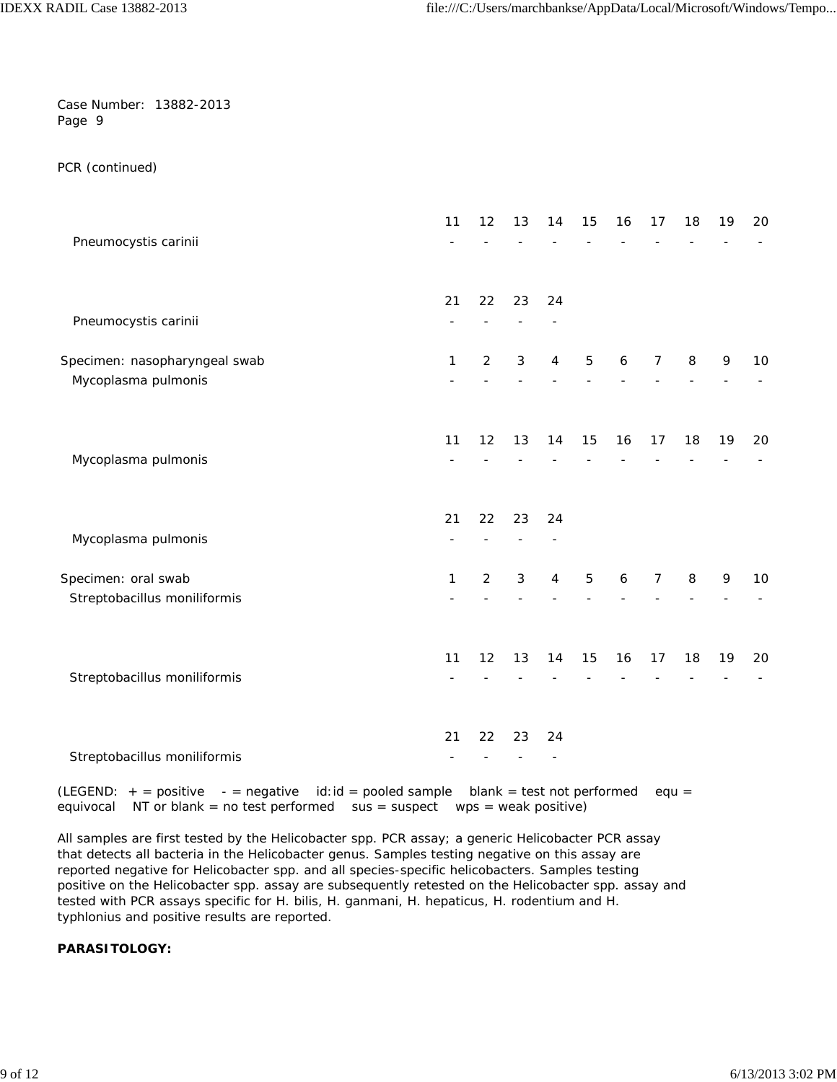PCR (continued)

|                               | 11 | 12             | 13             | 14             | 15             | 16 | 17             | 18 | 19 | 20 |
|-------------------------------|----|----------------|----------------|----------------|----------------|----|----------------|----|----|----|
| Pneumocystis carinii          |    |                |                |                |                |    |                |    |    |    |
|                               | 21 | 22             | 23             | 24             |                |    |                |    |    |    |
| Pneumocystis carinii          |    |                |                |                |                |    |                |    |    |    |
| Specimen: nasopharyngeal swab | 1  | $\overline{2}$ | $\mathfrak{Z}$ | 4              | 5              | 6  | $\overline{7}$ | 8  | 9  | 10 |
| Mycoplasma pulmonis           |    |                |                |                |                |    |                |    |    |    |
|                               | 11 | 12             | 13             | 14             | 15             | 16 | 17             | 18 | 19 | 20 |
| Mycoplasma pulmonis           |    |                |                |                |                |    |                |    |    |    |
|                               | 21 | 22             | 23             | 24             |                |    |                |    |    |    |
| Mycoplasma pulmonis           |    |                |                |                |                |    |                |    |    |    |
| Specimen: oral swab           | 1  | $\overline{2}$ | $\sqrt{3}$     | $\overline{4}$ | $\overline{5}$ | 6  | $\overline{7}$ | 8  | 9  | 10 |
| Streptobacillus moniliformis  |    |                |                |                |                |    |                |    |    |    |
|                               | 11 | 12             | 13             | 14             | 15             | 16 | 17             | 18 | 19 | 20 |
| Streptobacillus moniliformis  |    |                |                |                |                |    |                |    |    |    |
|                               |    |                |                |                |                |    |                |    |    |    |
| Streptobacillus moniliformis  | 21 | 22             | 23             | 24             |                |    |                |    |    |    |
|                               |    |                |                |                |                |    |                |    |    |    |

(LEGEND:  $+$  = positive  $-$  = negative id:id = pooled sample blank = test not performed equ = equivocal NT or blank = no test performed  $sus = suspect$  wps = weak positive)

All samples are first tested by the *Helicobacter* spp. PCR assay; a generic *Helicobacter* PCR assay that detects all bacteria in the *Helicobacter* genus. Samples testing negative on this assay are reported negative for *Helicobacter* spp. and all species-specific helicobacters. Samples testing positive on the *Helicobacter* spp. assay are subsequently retested on the *Helicobacter* spp. assay and tested with PCR assays specific for *H. bilis, H. ganmani, H. hepaticus, H. rodentium* and *H. typhlonius* and positive results are reported.

**PARASITOLOGY:**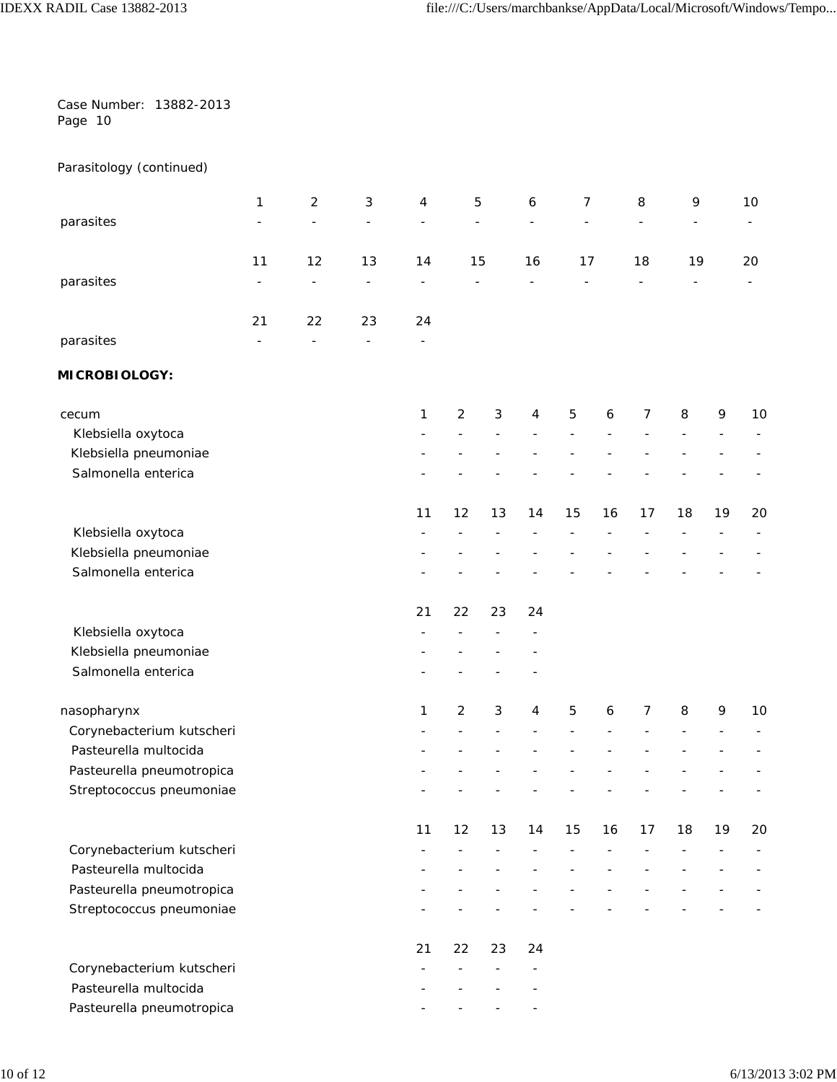|         | Case Number: 13882-2013 |
|---------|-------------------------|
| Page 10 |                         |

## Parasitology (continued)

|                           | 1  | $\overline{c}$ | 3  | 4  |            | 5  | 6  | 7              |    | 8  | 9  |    | 10 |
|---------------------------|----|----------------|----|----|------------|----|----|----------------|----|----|----|----|----|
| parasites                 |    |                |    |    |            |    |    |                |    |    |    |    |    |
|                           | 11 | 12             | 13 | 14 |            | 15 | 16 | 17             |    | 18 | 19 |    | 20 |
| parasites                 |    |                |    |    |            |    |    |                |    |    |    |    |    |
|                           | 21 | 22             | 23 | 24 |            |    |    |                |    |    |    |    |    |
| parasites                 |    |                |    |    |            |    |    |                |    |    |    |    |    |
| <b>MICROBIOLOGY:</b>      |    |                |    |    |            |    |    |                |    |    |    |    |    |
| cecum                     |    |                |    | 1  | $\sqrt{2}$ | 3  | 4  | $\overline{5}$ | 6  | 7  | 8  | 9  | 10 |
| Klebsiella oxytoca        |    |                |    |    |            |    |    |                |    |    |    |    |    |
| Klebsiella pneumoniae     |    |                |    |    |            |    |    |                |    |    |    |    |    |
| Salmonella enterica       |    |                |    |    |            |    |    |                |    |    |    |    |    |
|                           |    |                |    | 11 | 12         | 13 | 14 | 15             | 16 | 17 | 18 | 19 | 20 |
| Klebsiella oxytoca        |    |                |    |    |            |    |    |                |    |    |    |    |    |
| Klebsiella pneumoniae     |    |                |    |    |            |    |    |                |    |    |    |    |    |
| Salmonella enterica       |    |                |    |    |            |    |    |                |    |    |    |    |    |
|                           |    |                |    | 21 | 22         | 23 | 24 |                |    |    |    |    |    |
| Klebsiella oxytoca        |    |                |    |    |            |    |    |                |    |    |    |    |    |
| Klebsiella pneumoniae     |    |                |    |    |            |    |    |                |    |    |    |    |    |
| Salmonella enterica       |    |                |    |    |            |    |    |                |    |    |    |    |    |
| nasopharynx               |    |                |    | 1  | $\sqrt{2}$ | 3  | 4  | 5              | 6  | 7  | 8  | 9  | 10 |
| Corynebacterium kutscheri |    |                |    |    |            |    |    |                |    |    |    |    |    |
| Pasteurella multocida     |    |                |    |    |            |    |    |                |    |    |    |    |    |
| Pasteurella pneumotropica |    |                |    |    |            |    |    |                |    |    |    |    |    |
| Streptococcus pneumoniae  |    |                |    |    |            |    |    |                |    |    |    |    |    |
|                           |    |                |    | 11 | 12         | 13 | 14 | 15             | 16 | 17 | 18 | 19 | 20 |
| Corynebacterium kutscheri |    |                |    |    |            |    |    |                |    |    |    |    |    |
| Pasteurella multocida     |    |                |    |    |            |    |    |                |    |    |    |    |    |
| Pasteurella pneumotropica |    |                |    |    |            |    |    |                |    |    |    |    |    |
| Streptococcus pneumoniae  |    |                |    |    |            |    |    |                |    |    |    |    |    |
|                           |    |                |    | 21 | 22         | 23 | 24 |                |    |    |    |    |    |
| Corynebacterium kutscheri |    |                |    |    |            |    |    |                |    |    |    |    |    |
| Pasteurella multocida     |    |                |    |    |            |    |    |                |    |    |    |    |    |
| Pasteurella pneumotropica |    |                |    |    |            |    |    |                |    |    |    |    |    |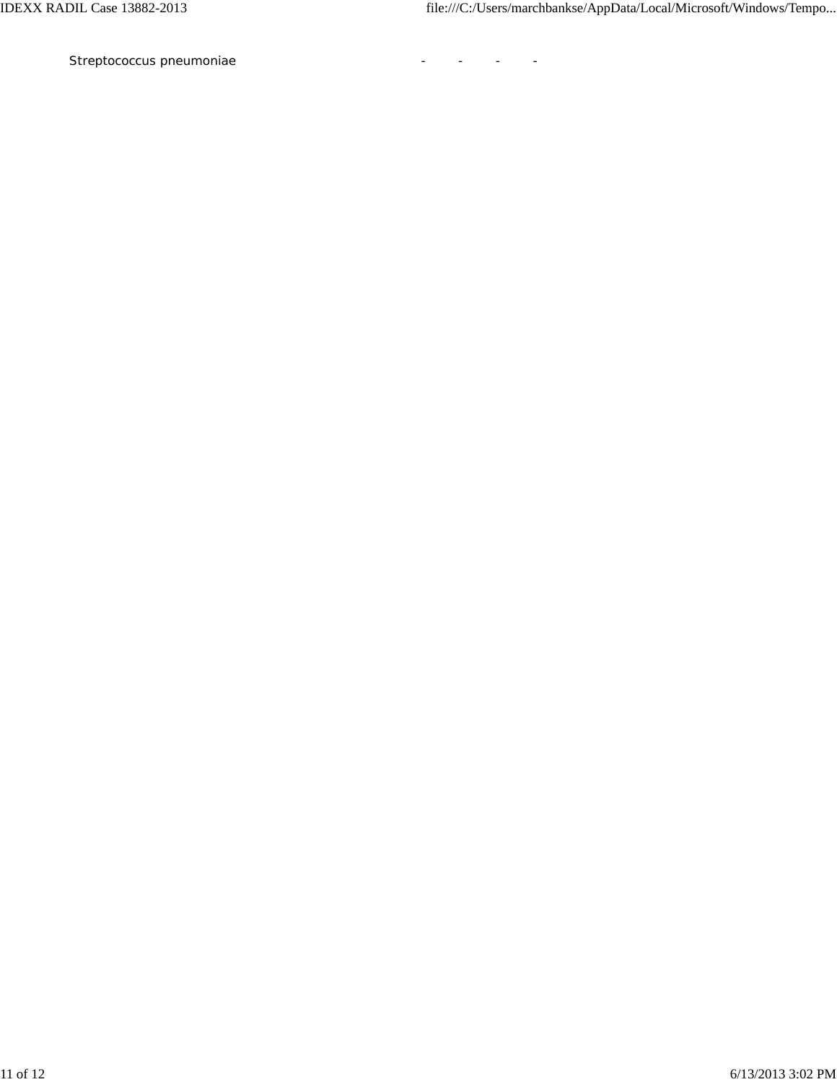*Streptococcus pneumoniae* - - - -